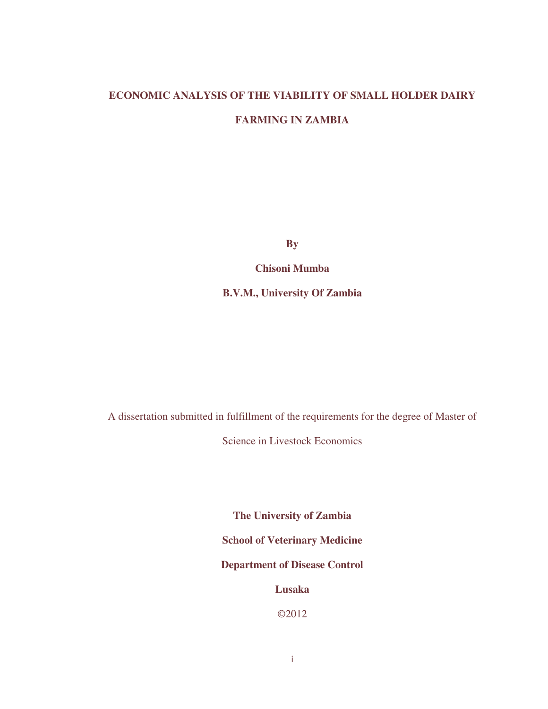## **ECONOMIC ANALYSIS OF THE VIABILITY OF SMALL HOLDER DAIRY**

### **FARMING IN ZAMBIA**

**By** 

**Chisoni Mumba** 

**B.V.M., University Of Zambia** 

A dissertation submitted in fulfillment of the requirements for the degree of Master of

Science in Livestock Economics

**The University of Zambia School of Veterinary Medicine Department of Disease Control Lusaka** 

©2012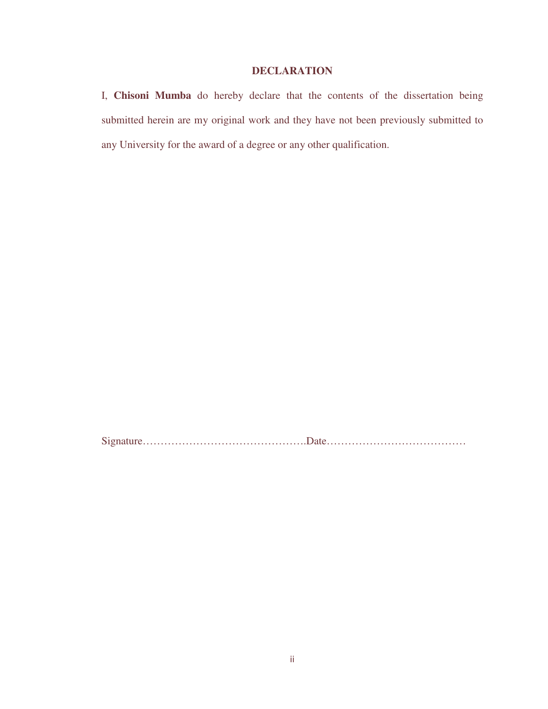# **DECLARATION**

I, **Chisoni Mumba** do hereby declare that the contents of the dissertation being submitted herein are my original work and they have not been previously submitted to any University for the award of a degree or any other qualification.

Signature……………………………………….Date…………………………………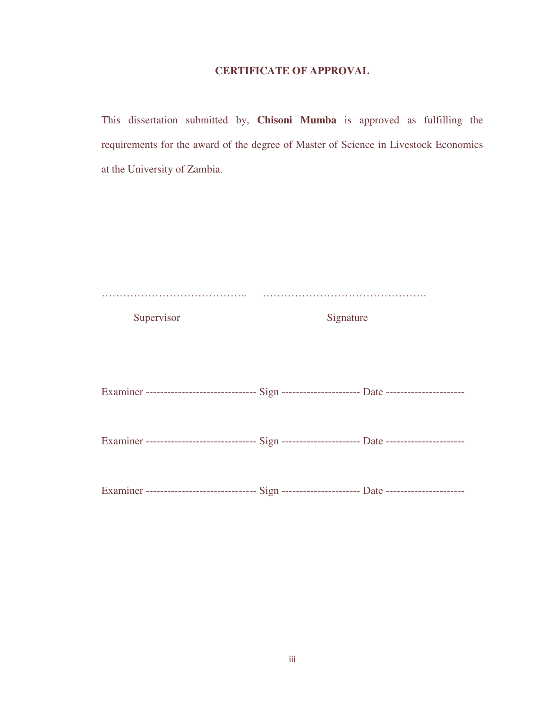### **CERTIFICATE OF APPROVAL**

This dissertation submitted by, **Chisoni Mumba** is approved as fulfilling the requirements for the award of the degree of Master of Science in Livestock Economics at the University of Zambia.

| Supervisor                                                                                         | Signature |
|----------------------------------------------------------------------------------------------------|-----------|
|                                                                                                    |           |
|                                                                                                    |           |
|                                                                                                    |           |
| Examiner ------------------------------- Sign ----------------------- Date ----------------------- |           |
|                                                                                                    |           |
|                                                                                                    |           |
| Examiner ------------------------------- Sign ----------------------- Date ----------------------- |           |
|                                                                                                    |           |
| Examiner ------------------------------- Sign ---------------------- Date ----------------------   |           |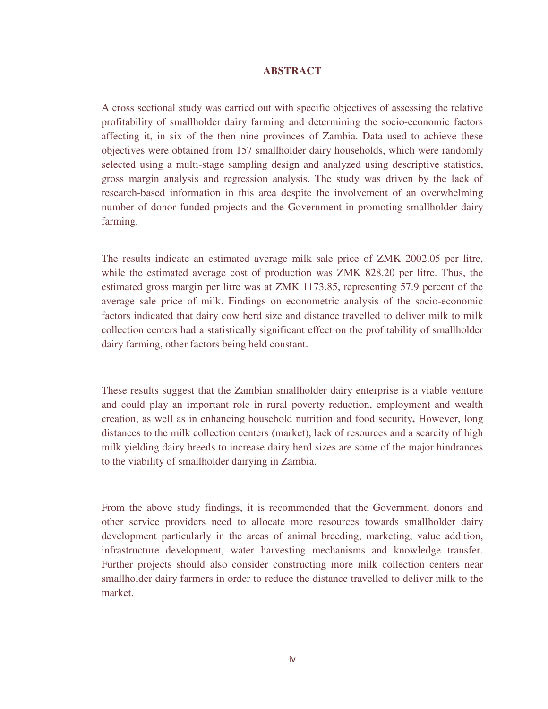#### **ABSTRACT**

A cross sectional study was carried out with specific objectives of assessing the relative profitability of smallholder dairy farming and determining the socio-economic factors affecting it, in six of the then nine provinces of Zambia. Data used to achieve these objectives were obtained from 157 smallholder dairy households, which were randomly selected using a multi-stage sampling design and analyzed using descriptive statistics, gross margin analysis and regression analysis. The study was driven by the lack of research-based information in this area despite the involvement of an overwhelming number of donor funded projects and the Government in promoting smallholder dairy farming.

The results indicate an estimated average milk sale price of ZMK 2002.05 per litre, while the estimated average cost of production was ZMK 828.20 per litre. Thus, the estimated gross margin per litre was at ZMK 1173.85, representing 57.9 percent of the average sale price of milk. Findings on econometric analysis of the socio-economic factors indicated that dairy cow herd size and distance travelled to deliver milk to milk collection centers had a statistically significant effect on the profitability of smallholder dairy farming, other factors being held constant.

These results suggest that the Zambian smallholder dairy enterprise is a viable venture and could play an important role in rural poverty reduction, employment and wealth creation, as well as in enhancing household nutrition and food security**.** However, long distances to the milk collection centers (market), lack of resources and a scarcity of high milk yielding dairy breeds to increase dairy herd sizes are some of the major hindrances to the viability of smallholder dairying in Zambia.

From the above study findings, it is recommended that the Government, donors and other service providers need to allocate more resources towards smallholder dairy development particularly in the areas of animal breeding, marketing, value addition, infrastructure development, water harvesting mechanisms and knowledge transfer. Further projects should also consider constructing more milk collection centers near smallholder dairy farmers in order to reduce the distance travelled to deliver milk to the market.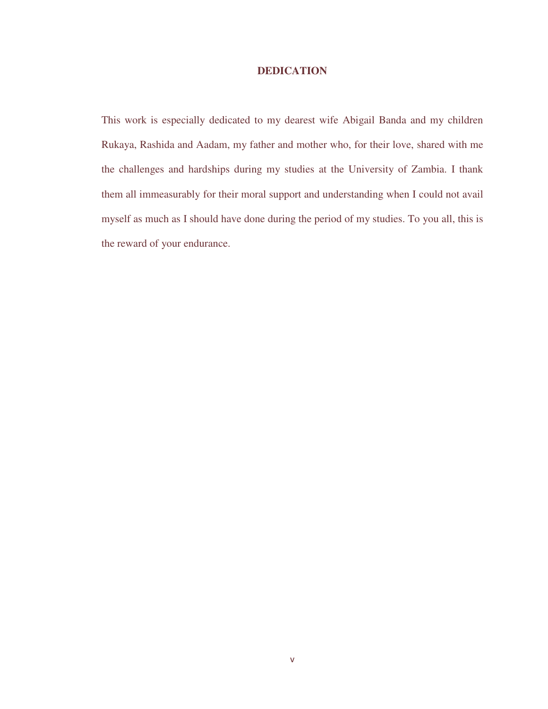### **DEDICATION**

This work is especially dedicated to my dearest wife Abigail Banda and my children Rukaya, Rashida and Aadam, my father and mother who, for their love, shared with me the challenges and hardships during my studies at the University of Zambia. I thank them all immeasurably for their moral support and understanding when I could not avail myself as much as I should have done during the period of my studies. To you all, this is the reward of your endurance.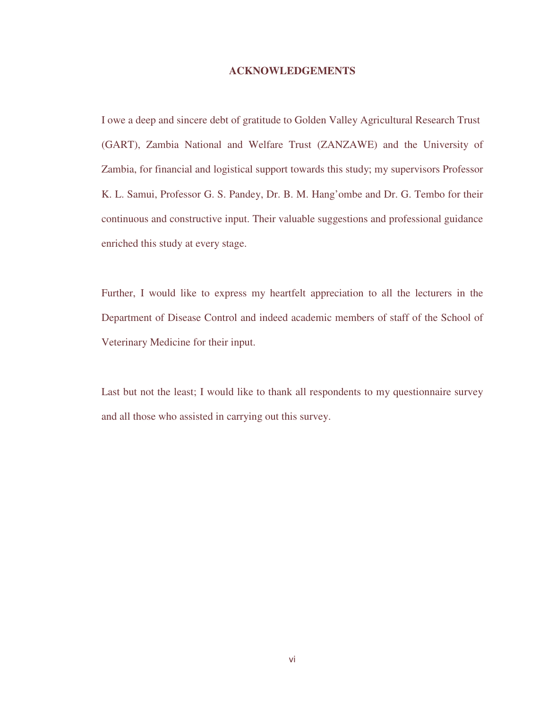#### **ACKNOWLEDGEMENTS**

I owe a deep and sincere debt of gratitude to Golden Valley Agricultural Research Trust (GART), Zambia National and Welfare Trust (ZANZAWE) and the University of Zambia, for financial and logistical support towards this study; my supervisors Professor K. L. Samui, Professor G. S. Pandey, Dr. B. M. Hang'ombe and Dr. G. Tembo for their continuous and constructive input. Their valuable suggestions and professional guidance enriched this study at every stage.

Further, I would like to express my heartfelt appreciation to all the lecturers in the Department of Disease Control and indeed academic members of staff of the School of Veterinary Medicine for their input.

Last but not the least; I would like to thank all respondents to my questionnaire survey and all those who assisted in carrying out this survey.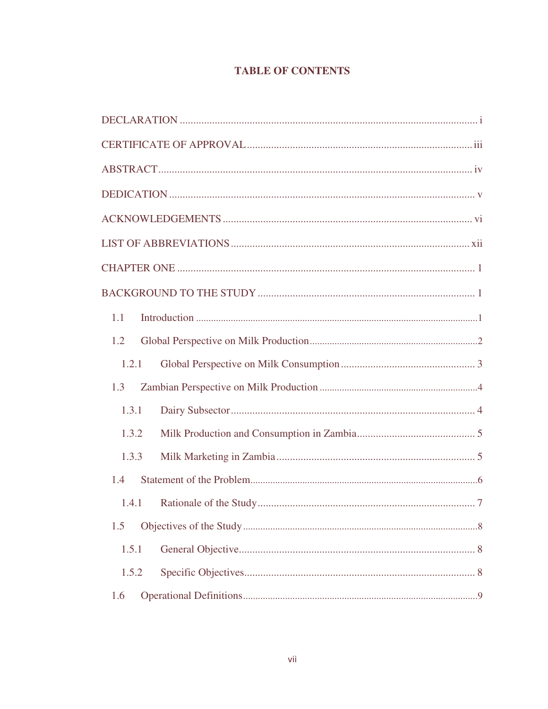# **TABLE OF CONTENTS**

| 1.1   |  |
|-------|--|
| 1.2   |  |
| 1.2.1 |  |
| 1.3   |  |
| 1.3.1 |  |
| 1.3.2 |  |
| 1.3.3 |  |
| 1.4   |  |
| 1.4.1 |  |
| 1.5   |  |
| 1.5.1 |  |
| 1.5.2 |  |
| 1.6   |  |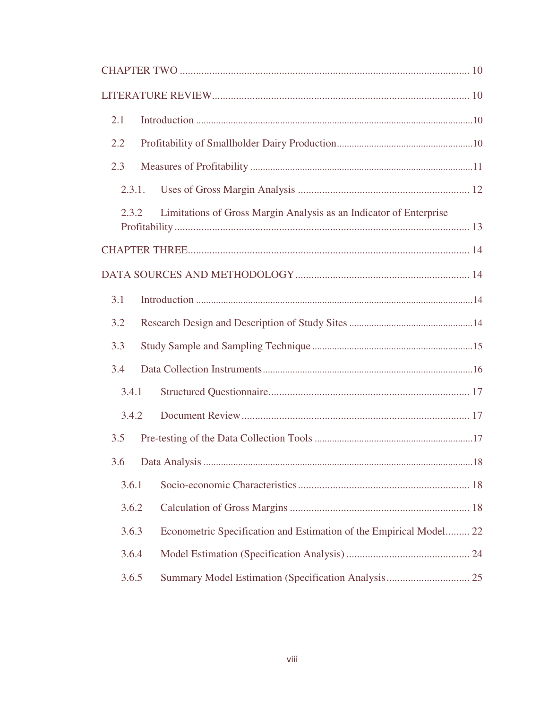| 2.1                                                                         |
|-----------------------------------------------------------------------------|
| 2.2                                                                         |
| 2.3                                                                         |
| 2.3.1.                                                                      |
| Limitations of Gross Margin Analysis as an Indicator of Enterprise<br>2.3.2 |
|                                                                             |
|                                                                             |
| 3.1                                                                         |
| 3.2                                                                         |
| 3.3                                                                         |
| 3.4                                                                         |
| 3.4.1                                                                       |
| 3.4.2                                                                       |
| 3.5                                                                         |
|                                                                             |
| 3.6.1                                                                       |
| 3.6.2                                                                       |
| Econometric Specification and Estimation of the Empirical Model 22<br>3.6.3 |
| 3.6.4                                                                       |
| 3.6.5                                                                       |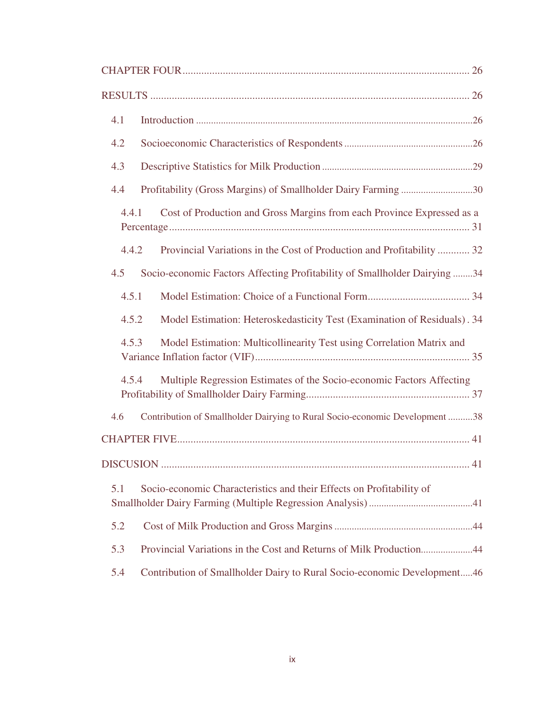| 4.1                                                                                |
|------------------------------------------------------------------------------------|
| 4.2                                                                                |
| 4.3                                                                                |
| Profitability (Gross Margins) of Smallholder Dairy Farming 30<br>4.4               |
| Cost of Production and Gross Margins from each Province Expressed as a<br>4.4.1    |
| 4.4.2<br>Provincial Variations in the Cost of Production and Profitability  32     |
| Socio-economic Factors Affecting Profitability of Smallholder Dairying 34<br>4.5   |
| 4.5.1                                                                              |
| Model Estimation: Heteroskedasticity Test (Examination of Residuals). 34<br>4.5.2  |
| 4.5.3<br>Model Estimation: Multicollinearity Test using Correlation Matrix and     |
| Multiple Regression Estimates of the Socio-economic Factors Affecting<br>4.5.4     |
| Contribution of Smallholder Dairying to Rural Socio-economic Development 38<br>4.6 |
|                                                                                    |
|                                                                                    |
| Socio-economic Characteristics and their Effects on Profitability of<br>5.1        |
| 5.2                                                                                |
| 5.3<br>Provincial Variations in the Cost and Returns of Milk Production44          |
| 5.4<br>Contribution of Smallholder Dairy to Rural Socio-economic Development46     |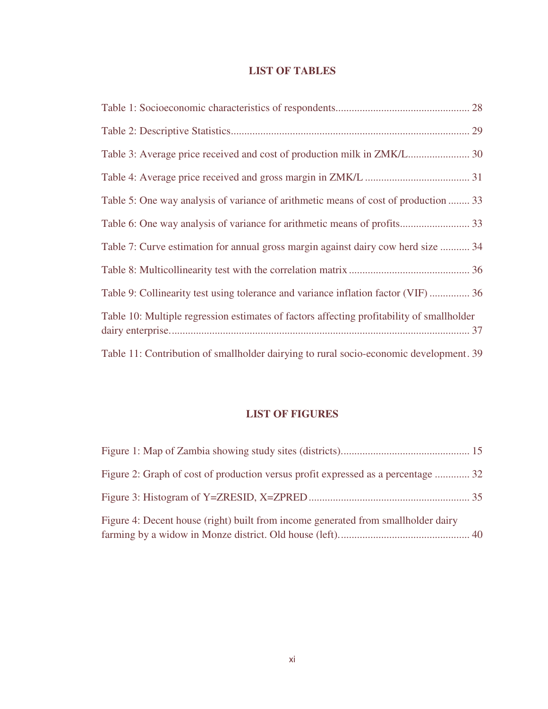# **LIST OF TABLES**

| Table 5: One way analysis of variance of arithmetic means of cost of production  33       |
|-------------------------------------------------------------------------------------------|
|                                                                                           |
| Table 7: Curve estimation for annual gross margin against dairy cow herd size  34         |
|                                                                                           |
| Table 9: Collinearity test using tolerance and variance inflation factor (VIF)  36        |
| Table 10: Multiple regression estimates of factors affecting profitability of smallholder |
| Table 11: Contribution of smallholder dairying to rural socio-economic development. 39    |

# **LIST OF FIGURES**

| Figure 2: Graph of cost of production versus profit expressed as a percentage  32 |  |
|-----------------------------------------------------------------------------------|--|
|                                                                                   |  |
| Figure 4: Decent house (right) built from income generated from smallholder dairy |  |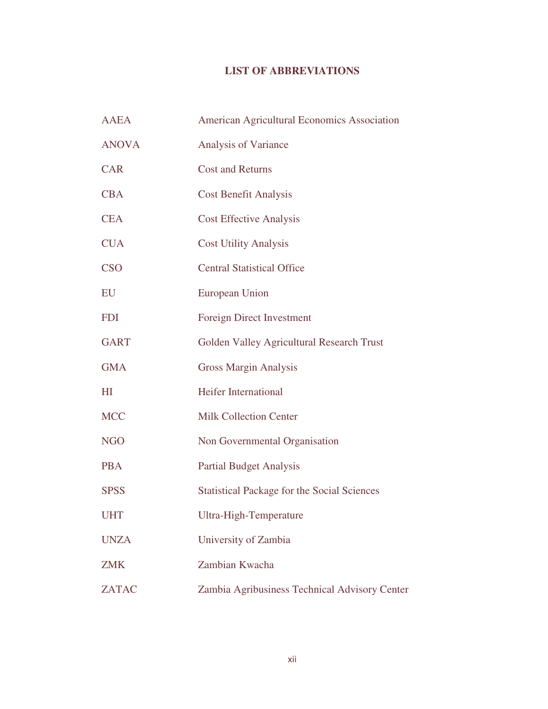# **LIST OF ABBREVIATIONS**

| <b>AAEA</b>  | American Agricultural Economics Association        |
|--------------|----------------------------------------------------|
| <b>ANOVA</b> | Analysis of Variance                               |
| <b>CAR</b>   | <b>Cost and Returns</b>                            |
| <b>CBA</b>   | <b>Cost Benefit Analysis</b>                       |
| <b>CEA</b>   | <b>Cost Effective Analysis</b>                     |
| <b>CUA</b>   | <b>Cost Utility Analysis</b>                       |
| <b>CSO</b>   | <b>Central Statistical Office</b>                  |
| EU           | <b>European Union</b>                              |
| <b>FDI</b>   | <b>Foreign Direct Investment</b>                   |
| <b>GART</b>  | Golden Valley Agricultural Research Trust          |
| <b>GMA</b>   | <b>Gross Margin Analysis</b>                       |
| HI           | <b>Heifer International</b>                        |
| <b>MCC</b>   | <b>Milk Collection Center</b>                      |
| <b>NGO</b>   | Non Governmental Organisation                      |
| <b>PBA</b>   | <b>Partial Budget Analysis</b>                     |
| <b>SPSS</b>  | <b>Statistical Package for the Social Sciences</b> |
| <b>UHT</b>   | Ultra-High-Temperature                             |
| <b>UNZA</b>  | University of Zambia                               |
| <b>ZMK</b>   | Zambian Kwacha                                     |
| <b>ZATAC</b> | Zambia Agribusiness Technical Advisory Center      |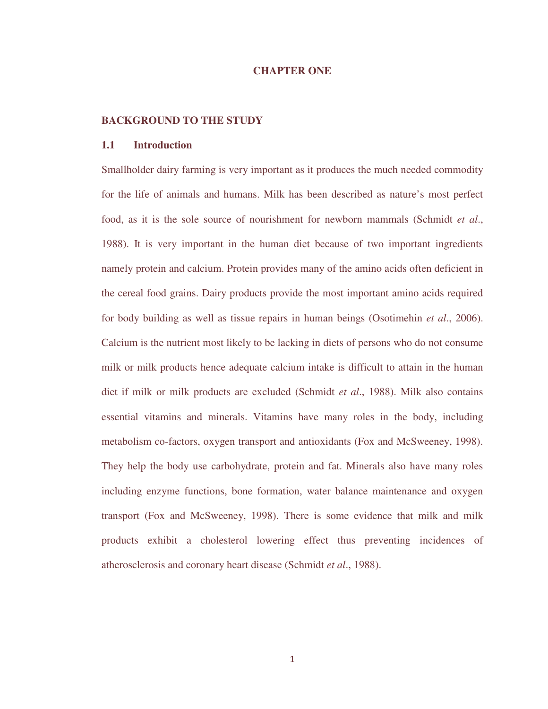#### **CHAPTER ONE**

#### **BACKGROUND TO THE STUDY**

#### **1.1 Introduction**

Smallholder dairy farming is very important as it produces the much needed commodity for the life of animals and humans. Milk has been described as nature's most perfect food, as it is the sole source of nourishment for newborn mammals (Schmidt *et al*., 1988). It is very important in the human diet because of two important ingredients namely protein and calcium. Protein provides many of the amino acids often deficient in the cereal food grains. Dairy products provide the most important amino acids required for body building as well as tissue repairs in human beings (Osotimehin *et al*., 2006). Calcium is the nutrient most likely to be lacking in diets of persons who do not consume milk or milk products hence adequate calcium intake is difficult to attain in the human diet if milk or milk products are excluded (Schmidt *et al*., 1988). Milk also contains essential vitamins and minerals. Vitamins have many roles in the body, including metabolism co-factors, oxygen transport and antioxidants (Fox and McSweeney, 1998). They help the body use carbohydrate, protein and fat. Minerals also have many roles including enzyme functions, bone formation, water balance maintenance and oxygen transport (Fox and McSweeney, 1998). There is some evidence that milk and milk products exhibit a cholesterol lowering effect thus preventing incidences of atherosclerosis and coronary heart disease (Schmidt *et al*., 1988).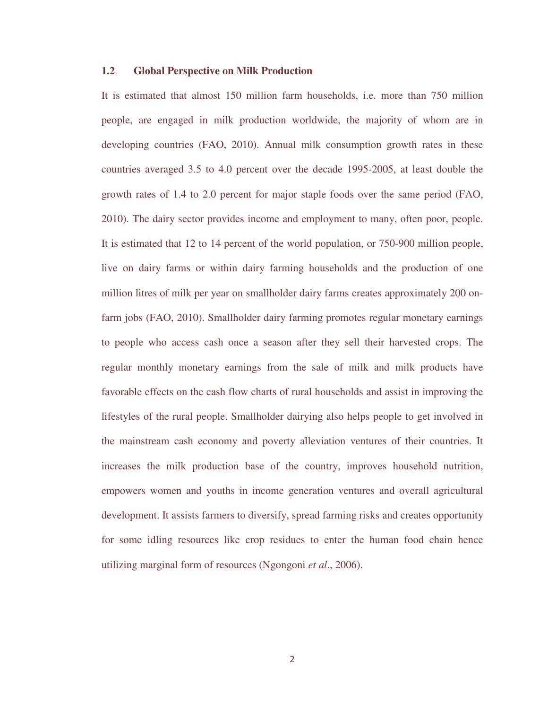### **1.2 Global Perspective on Milk Production**

It is estimated that almost 150 million farm households, i.e. more than 750 million people, are engaged in milk production worldwide, the majority of whom are in developing countries (FAO, 2010). Annual milk consumption growth rates in these countries averaged 3.5 to 4.0 percent over the decade 1995-2005, at least double the growth rates of 1.4 to 2.0 percent for major staple foods over the same period (FAO, 2010). The dairy sector provides income and employment to many, often poor, people. It is estimated that 12 to 14 percent of the world population, or 750-900 million people, live on dairy farms or within dairy farming households and the production of one million litres of milk per year on smallholder dairy farms creates approximately 200 onfarm jobs (FAO, 2010). Smallholder dairy farming promotes regular monetary earnings to people who access cash once a season after they sell their harvested crops. The regular monthly monetary earnings from the sale of milk and milk products have favorable effects on the cash flow charts of rural households and assist in improving the lifestyles of the rural people. Smallholder dairying also helps people to get involved in the mainstream cash economy and poverty alleviation ventures of their countries. It increases the milk production base of the country, improves household nutrition, empowers women and youths in income generation ventures and overall agricultural development. It assists farmers to diversify, spread farming risks and creates opportunity for some idling resources like crop residues to enter the human food chain hence utilizing marginal form of resources (Ngongoni *et al*., 2006).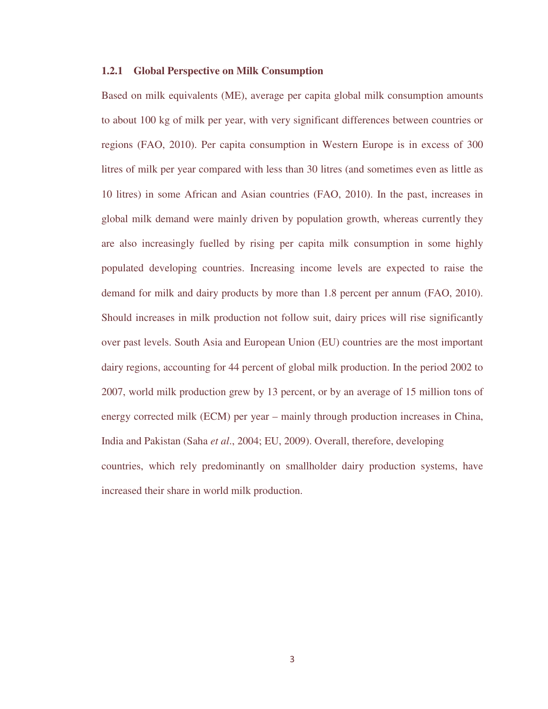#### **1.2.1 Global Perspective on Milk Consumption**

Based on milk equivalents (ME), average per capita global milk consumption amounts to about 100 kg of milk per year, with very significant differences between countries or regions (FAO, 2010). Per capita consumption in Western Europe is in excess of 300 litres of milk per year compared with less than 30 litres (and sometimes even as little as 10 litres) in some African and Asian countries (FAO, 2010). In the past, increases in global milk demand were mainly driven by population growth, whereas currently they are also increasingly fuelled by rising per capita milk consumption in some highly populated developing countries. Increasing income levels are expected to raise the demand for milk and dairy products by more than 1.8 percent per annum (FAO, 2010). Should increases in milk production not follow suit, dairy prices will rise significantly over past levels. South Asia and European Union (EU) countries are the most important dairy regions, accounting for 44 percent of global milk production. In the period 2002 to 2007, world milk production grew by 13 percent, or by an average of 15 million tons of energy corrected milk (ECM) per year – mainly through production increases in China, India and Pakistan (Saha *et al*., 2004; EU, 2009). Overall, therefore, developing countries, which rely predominantly on smallholder dairy production systems, have increased their share in world milk production.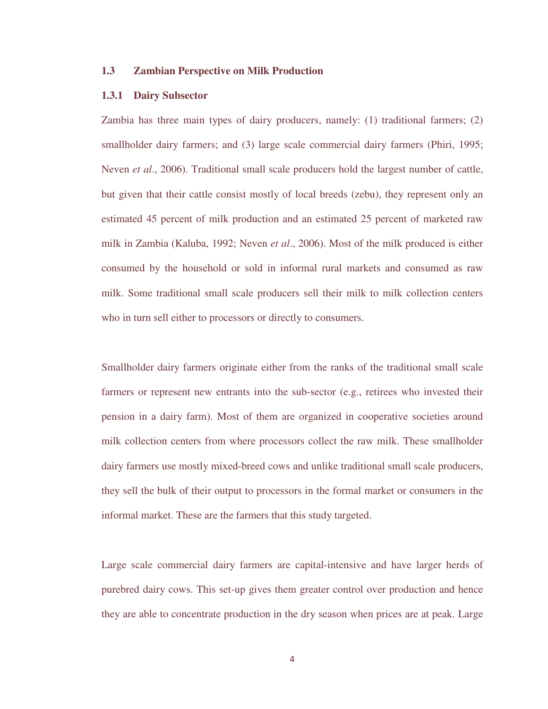### **1.3 Zambian Perspective on Milk Production**

#### **1.3.1 Dairy Subsector**

Zambia has three main types of dairy producers, namely: (1) traditional farmers; (2) smallholder dairy farmers; and (3) large scale commercial dairy farmers (Phiri, 1995; Neven *et al*., 2006). Traditional small scale producers hold the largest number of cattle, but given that their cattle consist mostly of local breeds (zebu), they represent only an estimated 45 percent of milk production and an estimated 25 percent of marketed raw milk in Zambia (Kaluba, 1992; Neven *et al*., 2006). Most of the milk produced is either consumed by the household or sold in informal rural markets and consumed as raw milk. Some traditional small scale producers sell their milk to milk collection centers who in turn sell either to processors or directly to consumers.

Smallholder dairy farmers originate either from the ranks of the traditional small scale farmers or represent new entrants into the sub-sector (e.g., retirees who invested their pension in a dairy farm). Most of them are organized in cooperative societies around milk collection centers from where processors collect the raw milk. These smallholder dairy farmers use mostly mixed-breed cows and unlike traditional small scale producers, they sell the bulk of their output to processors in the formal market or consumers in the informal market. These are the farmers that this study targeted.

Large scale commercial dairy farmers are capital-intensive and have larger herds of purebred dairy cows. This set-up gives them greater control over production and hence they are able to concentrate production in the dry season when prices are at peak. Large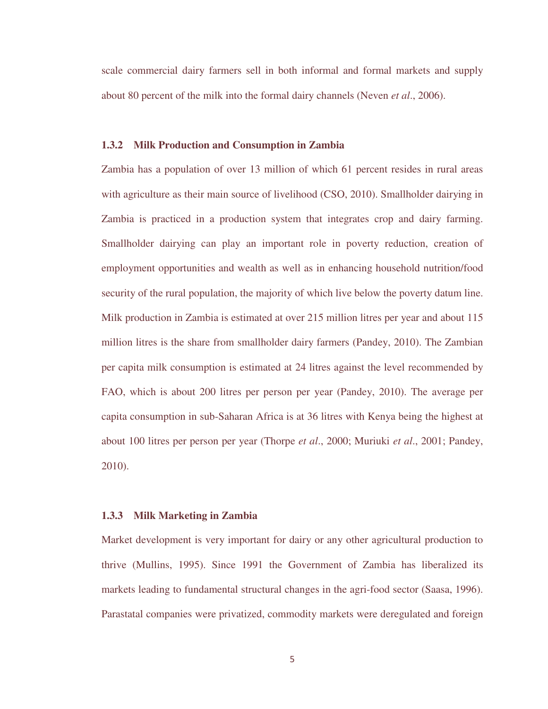scale commercial dairy farmers sell in both informal and formal markets and supply about 80 percent of the milk into the formal dairy channels (Neven *et al*., 2006).

#### **1.3.2 Milk Production and Consumption in Zambia**

Zambia has a population of over 13 million of which 61 percent resides in rural areas with agriculture as their main source of livelihood (CSO, 2010). Smallholder dairying in Zambia is practiced in a production system that integrates crop and dairy farming. Smallholder dairying can play an important role in poverty reduction, creation of employment opportunities and wealth as well as in enhancing household nutrition/food security of the rural population, the majority of which live below the poverty datum line. Milk production in Zambia is estimated at over 215 million litres per year and about 115 million litres is the share from smallholder dairy farmers (Pandey, 2010). The Zambian per capita milk consumption is estimated at 24 litres against the level recommended by FAO, which is about 200 litres per person per year (Pandey, 2010). The average per capita consumption in sub-Saharan Africa is at 36 litres with Kenya being the highest at about 100 litres per person per year (Thorpe *et al*., 2000; Muriuki *et al*., 2001; Pandey, 2010).

#### **1.3.3 Milk Marketing in Zambia**

Market development is very important for dairy or any other agricultural production to thrive (Mullins, 1995). Since 1991 the Government of Zambia has liberalized its markets leading to fundamental structural changes in the agri-food sector (Saasa, 1996). Parastatal companies were privatized, commodity markets were deregulated and foreign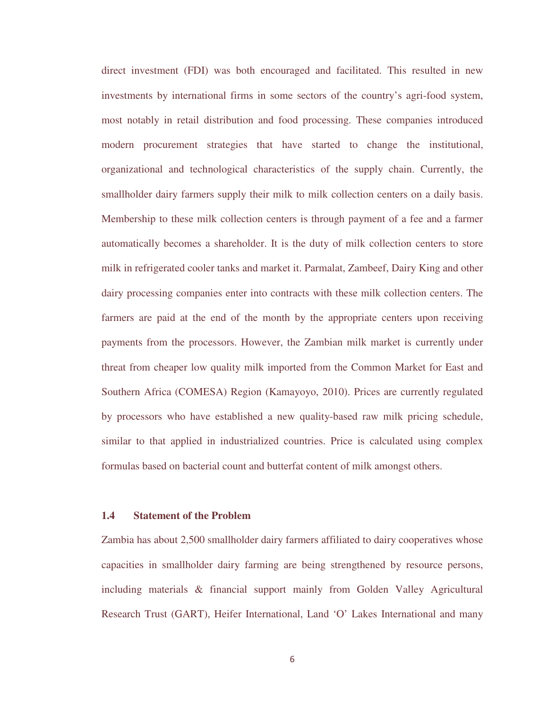direct investment (FDI) was both encouraged and facilitated. This resulted in new investments by international firms in some sectors of the country's agri-food system, most notably in retail distribution and food processing. These companies introduced modern procurement strategies that have started to change the institutional, organizational and technological characteristics of the supply chain. Currently, the smallholder dairy farmers supply their milk to milk collection centers on a daily basis. Membership to these milk collection centers is through payment of a fee and a farmer automatically becomes a shareholder. It is the duty of milk collection centers to store milk in refrigerated cooler tanks and market it. Parmalat, Zambeef, Dairy King and other dairy processing companies enter into contracts with these milk collection centers. The farmers are paid at the end of the month by the appropriate centers upon receiving payments from the processors. However, the Zambian milk market is currently under threat from cheaper low quality milk imported from the Common Market for East and Southern Africa (COMESA) Region (Kamayoyo, 2010). Prices are currently regulated by processors who have established a new quality-based raw milk pricing schedule, similar to that applied in industrialized countries. Price is calculated using complex formulas based on bacterial count and butterfat content of milk amongst others.

#### **1.4 Statement of the Problem**

Zambia has about 2,500 smallholder dairy farmers affiliated to dairy cooperatives whose capacities in smallholder dairy farming are being strengthened by resource persons, including materials & financial support mainly from Golden Valley Agricultural Research Trust (GART), Heifer International, Land 'O' Lakes International and many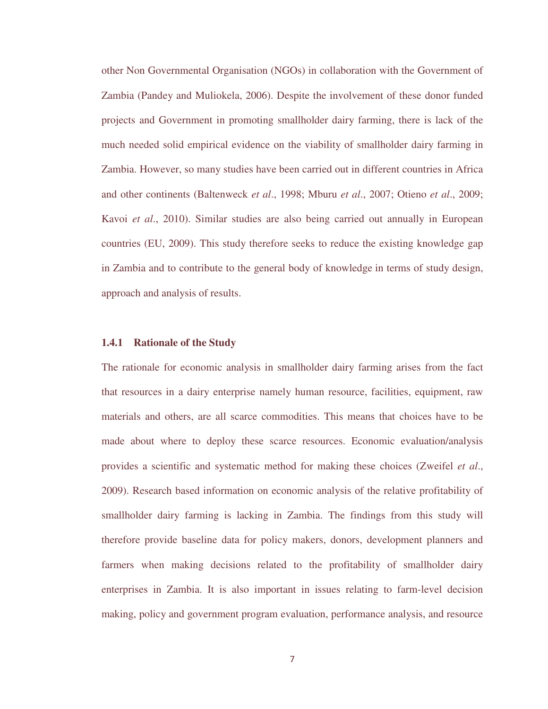other Non Governmental Organisation (NGOs) in collaboration with the Government of Zambia (Pandey and Muliokela, 2006). Despite the involvement of these donor funded projects and Government in promoting smallholder dairy farming, there is lack of the much needed solid empirical evidence on the viability of smallholder dairy farming in Zambia. However, so many studies have been carried out in different countries in Africa and other continents (Baltenweck *et al*., 1998; Mburu *et al*., 2007; Otieno *et al*., 2009; Kavoi *et al*., 2010). Similar studies are also being carried out annually in European countries (EU, 2009). This study therefore seeks to reduce the existing knowledge gap in Zambia and to contribute to the general body of knowledge in terms of study design, approach and analysis of results.

#### **1.4.1 Rationale of the Study**

The rationale for economic analysis in smallholder dairy farming arises from the fact that resources in a dairy enterprise namely human resource, facilities, equipment, raw materials and others, are all scarce commodities. This means that choices have to be made about where to deploy these scarce resources. Economic evaluation/analysis provides a scientific and systematic method for making these choices (Zweifel *et al*., 2009). Research based information on economic analysis of the relative profitability of smallholder dairy farming is lacking in Zambia. The findings from this study will therefore provide baseline data for policy makers, donors, development planners and farmers when making decisions related to the profitability of smallholder dairy enterprises in Zambia. It is also important in issues relating to farm-level decision making, policy and government program evaluation, performance analysis, and resource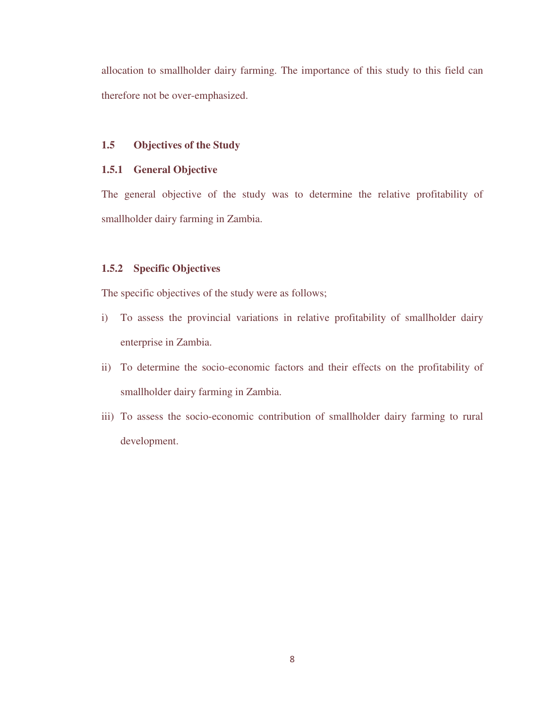allocation to smallholder dairy farming. The importance of this study to this field can therefore not be over-emphasized.

### **1.5 Objectives of the Study**

### **1.5.1 General Objective**

The general objective of the study was to determine the relative profitability of smallholder dairy farming in Zambia.

### **1.5.2 Specific Objectives**

The specific objectives of the study were as follows;

- i) To assess the provincial variations in relative profitability of smallholder dairy enterprise in Zambia.
- ii) To determine the socio-economic factors and their effects on the profitability of smallholder dairy farming in Zambia.
- iii) To assess the socio-economic contribution of smallholder dairy farming to rural development.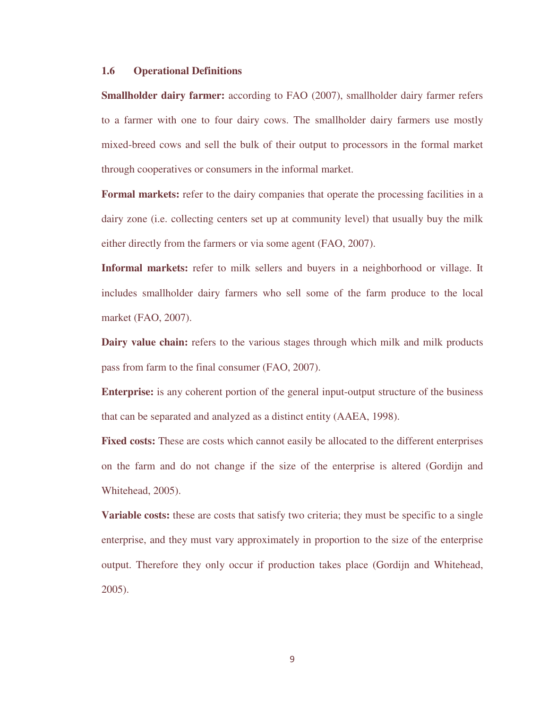#### **1.6 Operational Definitions**

**Smallholder dairy farmer:** according to FAO (2007), smallholder dairy farmer refers to a farmer with one to four dairy cows. The smallholder dairy farmers use mostly mixed-breed cows and sell the bulk of their output to processors in the formal market through cooperatives or consumers in the informal market.

**Formal markets:** refer to the dairy companies that operate the processing facilities in a dairy zone (i.e. collecting centers set up at community level) that usually buy the milk either directly from the farmers or via some agent (FAO, 2007).

**Informal markets:** refer to milk sellers and buyers in a neighborhood or village. It includes smallholder dairy farmers who sell some of the farm produce to the local market (FAO, 2007).

**Dairy value chain:** refers to the various stages through which milk and milk products pass from farm to the final consumer (FAO, 2007).

**Enterprise:** is any coherent portion of the general input-output structure of the business that can be separated and analyzed as a distinct entity (AAEA, 1998).

**Fixed costs:** These are costs which cannot easily be allocated to the different enterprises on the farm and do not change if the size of the enterprise is altered (Gordijn and Whitehead, 2005).

**Variable costs:** these are costs that satisfy two criteria; they must be specific to a single enterprise, and they must vary approximately in proportion to the size of the enterprise output. Therefore they only occur if production takes place (Gordijn and Whitehead, 2005).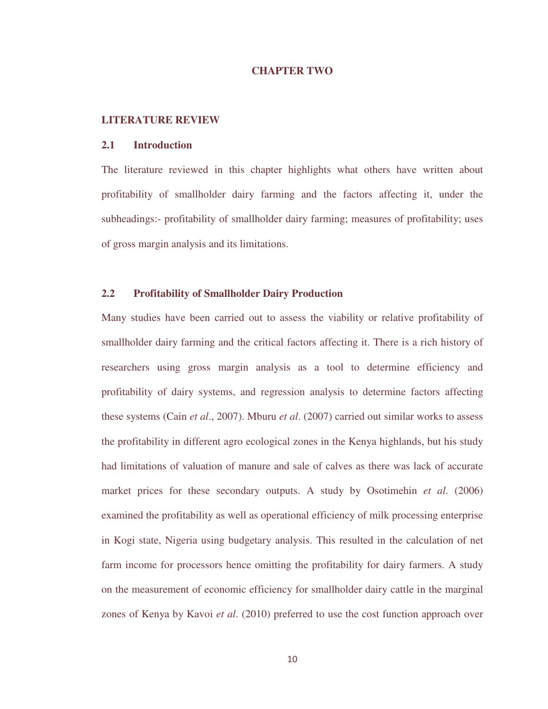#### **CHAPTER TWO**

#### **LITERATURE REVIEW**

#### **2.1 Introduction**

The literature reviewed in this chapter highlights what others have written about profitability of smallholder dairy farming and the factors affecting it, under the subheadings:- profitability of smallholder dairy farming; measures of profitability; uses of gross margin analysis and its limitations.

### **2.2 Profitability of Smallholder Dairy Production**

Many studies have been carried out to assess the viability or relative profitability of smallholder dairy farming and the critical factors affecting it. There is a rich history of researchers using gross margin analysis as a tool to determine efficiency and profitability of dairy systems, and regression analysis to determine factors affecting these systems (Cain *et al*., 2007). Mburu *et al*. (2007) carried out similar works to assess the profitability in different agro ecological zones in the Kenya highlands, but his study had limitations of valuation of manure and sale of calves as there was lack of accurate market prices for these secondary outputs. A study by Osotimehin *et al*. (2006) examined the profitability as well as operational efficiency of milk processing enterprise in Kogi state, Nigeria using budgetary analysis. This resulted in the calculation of net farm income for processors hence omitting the profitability for dairy farmers. A study on the measurement of economic efficiency for smallholder dairy cattle in the marginal zones of Kenya by Kavoi *et al*. (2010) preferred to use the cost function approach over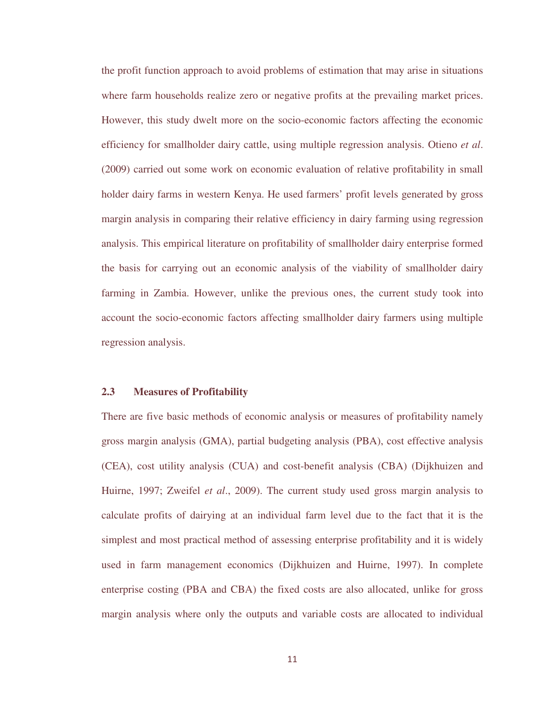the profit function approach to avoid problems of estimation that may arise in situations where farm households realize zero or negative profits at the prevailing market prices. However, this study dwelt more on the socio-economic factors affecting the economic efficiency for smallholder dairy cattle, using multiple regression analysis. Otieno *et al*. (2009) carried out some work on economic evaluation of relative profitability in small holder dairy farms in western Kenya. He used farmers' profit levels generated by gross margin analysis in comparing their relative efficiency in dairy farming using regression analysis. This empirical literature on profitability of smallholder dairy enterprise formed the basis for carrying out an economic analysis of the viability of smallholder dairy farming in Zambia. However, unlike the previous ones, the current study took into account the socio-economic factors affecting smallholder dairy farmers using multiple regression analysis.

### **2.3 Measures of Profitability**

There are five basic methods of economic analysis or measures of profitability namely gross margin analysis (GMA), partial budgeting analysis (PBA), cost effective analysis (CEA), cost utility analysis (CUA) and cost-benefit analysis (CBA) (Dijkhuizen and Huirne, 1997; Zweifel *et al*., 2009). The current study used gross margin analysis to calculate profits of dairying at an individual farm level due to the fact that it is the simplest and most practical method of assessing enterprise profitability and it is widely used in farm management economics (Dijkhuizen and Huirne, 1997). In complete enterprise costing (PBA and CBA) the fixed costs are also allocated, unlike for gross margin analysis where only the outputs and variable costs are allocated to individual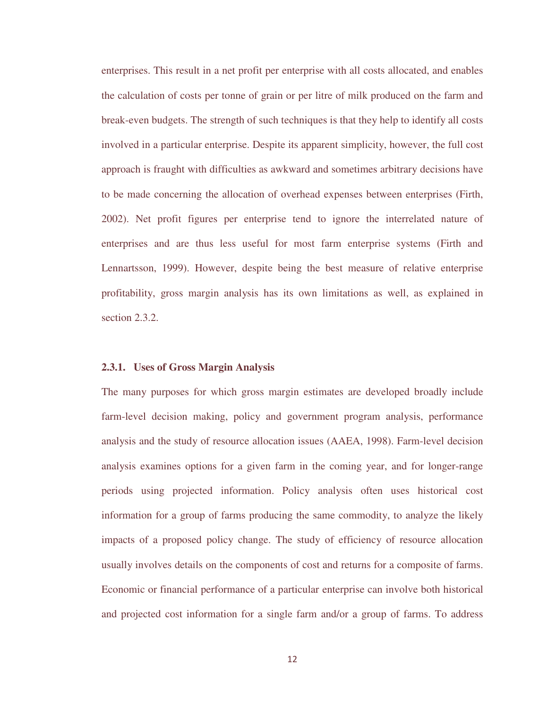enterprises. This result in a net profit per enterprise with all costs allocated, and enables the calculation of costs per tonne of grain or per litre of milk produced on the farm and break-even budgets. The strength of such techniques is that they help to identify all costs involved in a particular enterprise. Despite its apparent simplicity, however, the full cost approach is fraught with difficulties as awkward and sometimes arbitrary decisions have to be made concerning the allocation of overhead expenses between enterprises (Firth, 2002). Net profit figures per enterprise tend to ignore the interrelated nature of enterprises and are thus less useful for most farm enterprise systems (Firth and Lennartsson, 1999). However, despite being the best measure of relative enterprise profitability, gross margin analysis has its own limitations as well, as explained in section 2.3.2.

#### **2.3.1. Uses of Gross Margin Analysis**

The many purposes for which gross margin estimates are developed broadly include farm-level decision making, policy and government program analysis, performance analysis and the study of resource allocation issues (AAEA, 1998). Farm-level decision analysis examines options for a given farm in the coming year, and for longer-range periods using projected information. Policy analysis often uses historical cost information for a group of farms producing the same commodity, to analyze the likely impacts of a proposed policy change. The study of efficiency of resource allocation usually involves details on the components of cost and returns for a composite of farms. Economic or financial performance of a particular enterprise can involve both historical and projected cost information for a single farm and/or a group of farms. To address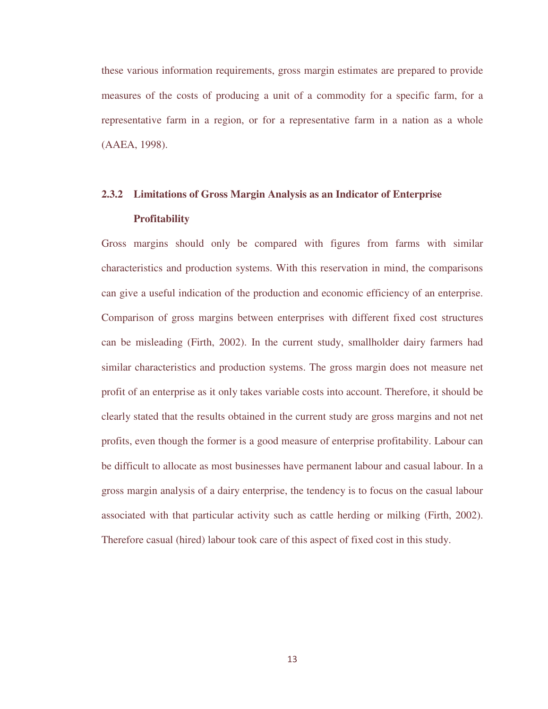these various information requirements, gross margin estimates are prepared to provide measures of the costs of producing a unit of a commodity for a specific farm, for a representative farm in a region, or for a representative farm in a nation as a whole (AAEA, 1998).

# **2.3.2 Limitations of Gross Margin Analysis as an Indicator of Enterprise Profitability**

Gross margins should only be compared with figures from farms with similar characteristics and production systems. With this reservation in mind, the comparisons can give a useful indication of the production and economic efficiency of an enterprise. Comparison of gross margins between enterprises with different fixed cost structures can be misleading (Firth, 2002). In the current study, smallholder dairy farmers had similar characteristics and production systems. The gross margin does not measure net profit of an enterprise as it only takes variable costs into account. Therefore, it should be clearly stated that the results obtained in the current study are gross margins and not net profits, even though the former is a good measure of enterprise profitability. Labour can be difficult to allocate as most businesses have permanent labour and casual labour. In a gross margin analysis of a dairy enterprise, the tendency is to focus on the casual labour associated with that particular activity such as cattle herding or milking (Firth, 2002). Therefore casual (hired) labour took care of this aspect of fixed cost in this study.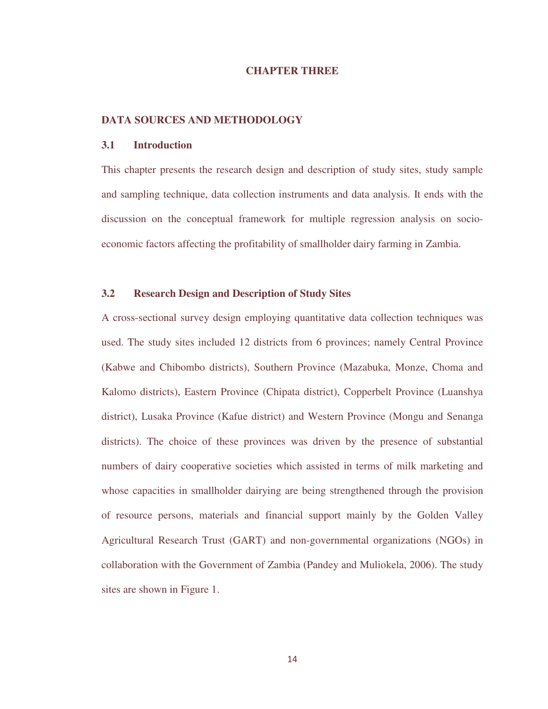#### **CHAPTER THREE**

#### **DATA SOURCES AND METHODOLOGY**

#### **3.1 Introduction**

This chapter presents the research design and description of study sites, study sample and sampling technique, data collection instruments and data analysis. It ends with the discussion on the conceptual framework for multiple regression analysis on socioeconomic factors affecting the profitability of smallholder dairy farming in Zambia.

### **3.2 Research Design and Description of Study Sites**

A cross-sectional survey design employing quantitative data collection techniques was used. The study sites included 12 districts from 6 provinces; namely Central Province (Kabwe and Chibombo districts), Southern Province (Mazabuka, Monze, Choma and Kalomo districts), Eastern Province (Chipata district), Copperbelt Province (Luanshya district), Lusaka Province (Kafue district) and Western Province (Mongu and Senanga districts). The choice of these provinces was driven by the presence of substantial numbers of dairy cooperative societies which assisted in terms of milk marketing and whose capacities in smallholder dairying are being strengthened through the provision of resource persons, materials and financial support mainly by the Golden Valley Agricultural Research Trust (GART) and non-governmental organizations (NGOs) in collaboration with the Government of Zambia (Pandey and Muliokela, 2006). The study sites are shown in Figure 1.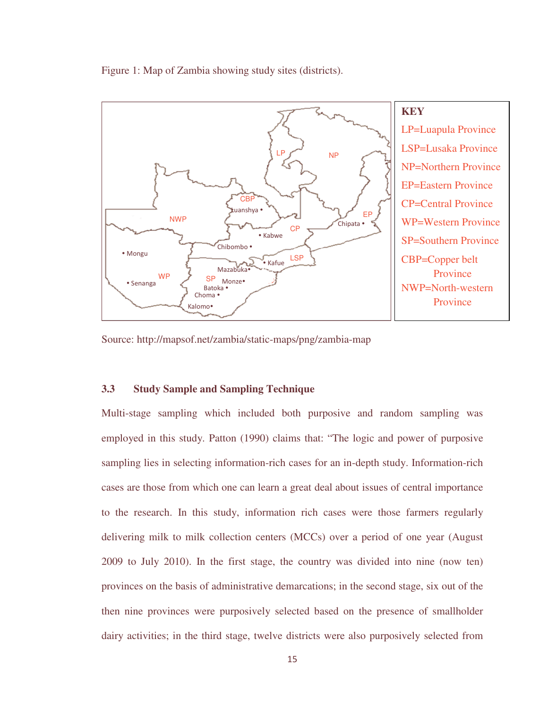Figure 1: Map of Zambia showing study sites (districts).



Source: http://mapsof.net/zambia/static-maps/png/zambia-map

### **3.3 Study Sample and Sampling Technique**

Multi-stage sampling which included both purposive and random sampling was employed in this study. Patton (1990) claims that: "The logic and power of purposive sampling lies in selecting information-rich cases for an in-depth study. Information-rich cases are those from which one can learn a great deal about issues of central importance to the research. In this study, information rich cases were those farmers regularly delivering milk to milk collection centers (MCCs) over a period of one year (August 2009 to July 2010). In the first stage, the country was divided into nine (now ten) provinces on the basis of administrative demarcations; in the second stage, six out of the then nine provinces were purposively selected based on the presence of smallholder dairy activities; in the third stage, twelve districts were also purposively selected from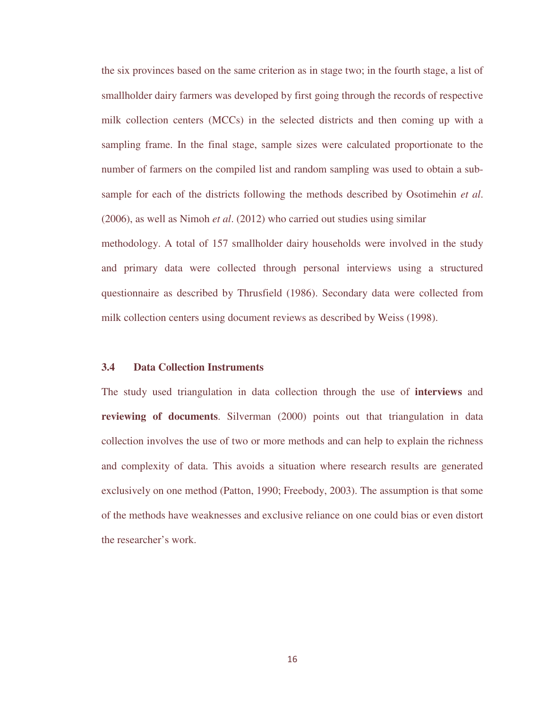the six provinces based on the same criterion as in stage two; in the fourth stage, a list of smallholder dairy farmers was developed by first going through the records of respective milk collection centers (MCCs) in the selected districts and then coming up with a sampling frame. In the final stage, sample sizes were calculated proportionate to the number of farmers on the compiled list and random sampling was used to obtain a subsample for each of the districts following the methods described by Osotimehin *et al*. (2006), as well as Nimoh *et al*. (2012) who carried out studies using similar

methodology. A total of 157 smallholder dairy households were involved in the study and primary data were collected through personal interviews using a structured questionnaire as described by Thrusfield (1986). Secondary data were collected from milk collection centers using document reviews as described by Weiss (1998).

#### **3.4 Data Collection Instruments**

The study used triangulation in data collection through the use of **interviews** and **reviewing of documents**. Silverman (2000) points out that triangulation in data collection involves the use of two or more methods and can help to explain the richness and complexity of data. This avoids a situation where research results are generated exclusively on one method (Patton, 1990; Freebody, 2003). The assumption is that some of the methods have weaknesses and exclusive reliance on one could bias or even distort the researcher's work.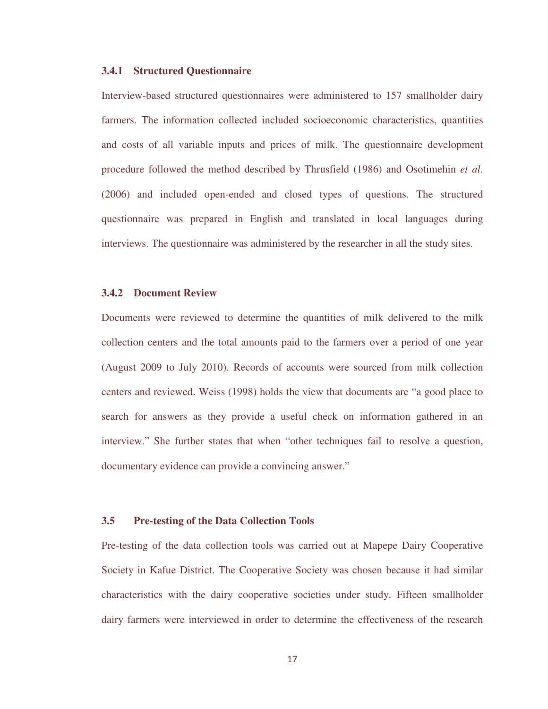#### **3.4.1 Structured Questionnaire**

Interview-based structured questionnaires were administered to 157 smallholder dairy farmers. The information collected included socioeconomic characteristics, quantities and costs of all variable inputs and prices of milk. The questionnaire development procedure followed the method described by Thrusfield (1986) and Osotimehin *et al*. (2006) and included open-ended and closed types of questions. The structured questionnaire was prepared in English and translated in local languages during interviews. The questionnaire was administered by the researcher in all the study sites.

#### **3.4.2 Document Review**

Documents were reviewed to determine the quantities of milk delivered to the milk collection centers and the total amounts paid to the farmers over a period of one year (August 2009 to July 2010). Records of accounts were sourced from milk collection centers and reviewed. Weiss (1998) holds the view that documents are "a good place to search for answers as they provide a useful check on information gathered in an interview." She further states that when "other techniques fail to resolve a question, documentary evidence can provide a convincing answer."

#### **3.5 Pre-testing of the Data Collection Tools**

Pre-testing of the data collection tools was carried out at Mapepe Dairy Cooperative Society in Kafue District. The Cooperative Society was chosen because it had similar characteristics with the dairy cooperative societies under study. Fifteen smallholder dairy farmers were interviewed in order to determine the effectiveness of the research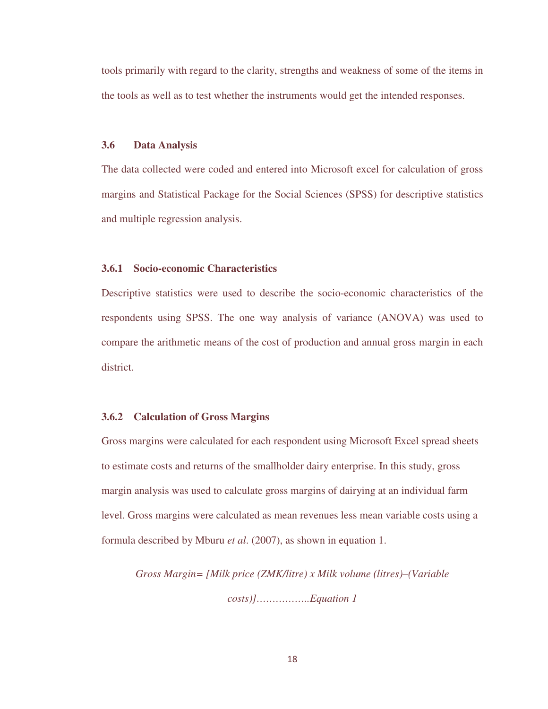tools primarily with regard to the clarity, strengths and weakness of some of the items in the tools as well as to test whether the instruments would get the intended responses.

#### **3.6 Data Analysis**

The data collected were coded and entered into Microsoft excel for calculation of gross margins and Statistical Package for the Social Sciences (SPSS) for descriptive statistics and multiple regression analysis.

#### **3.6.1 Socio-economic Characteristics**

Descriptive statistics were used to describe the socio-economic characteristics of the respondents using SPSS. The one way analysis of variance (ANOVA) was used to compare the arithmetic means of the cost of production and annual gross margin in each district.

#### **3.6.2 Calculation of Gross Margins**

Gross margins were calculated for each respondent using Microsoft Excel spread sheets to estimate costs and returns of the smallholder dairy enterprise. In this study, gross margin analysis was used to calculate gross margins of dairying at an individual farm level. Gross margins were calculated as mean revenues less mean variable costs using a formula described by Mburu *et al*. (2007), as shown in equation 1.

*Gross Margin= [Milk price (ZMK/litre) x Milk volume (litres)–(Variable costs)]……………..Equation 1*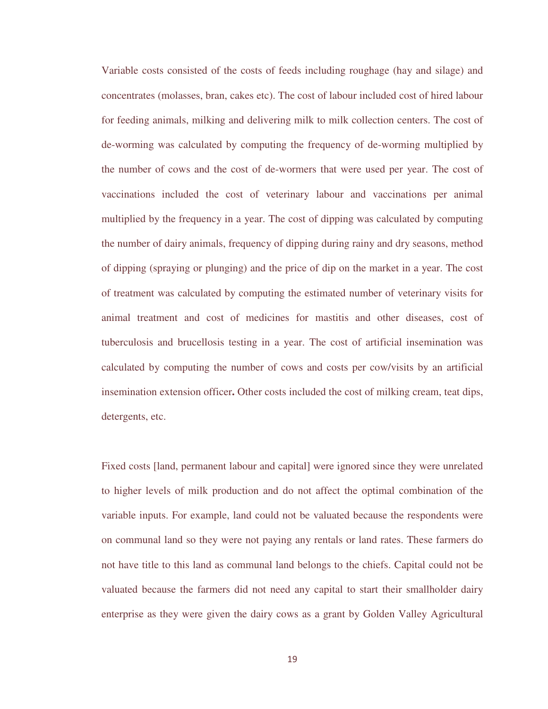Variable costs consisted of the costs of feeds including roughage (hay and silage) and concentrates (molasses, bran, cakes etc). The cost of labour included cost of hired labour for feeding animals, milking and delivering milk to milk collection centers. The cost of de-worming was calculated by computing the frequency of de-worming multiplied by the number of cows and the cost of de-wormers that were used per year. The cost of vaccinations included the cost of veterinary labour and vaccinations per animal multiplied by the frequency in a year. The cost of dipping was calculated by computing the number of dairy animals, frequency of dipping during rainy and dry seasons, method of dipping (spraying or plunging) and the price of dip on the market in a year. The cost of treatment was calculated by computing the estimated number of veterinary visits for animal treatment and cost of medicines for mastitis and other diseases, cost of tuberculosis and brucellosis testing in a year. The cost of artificial insemination was calculated by computing the number of cows and costs per cow/visits by an artificial insemination extension officer**.** Other costs included the cost of milking cream, teat dips, detergents, etc.

Fixed costs [land, permanent labour and capital] were ignored since they were unrelated to higher levels of milk production and do not affect the optimal combination of the variable inputs. For example, land could not be valuated because the respondents were on communal land so they were not paying any rentals or land rates. These farmers do not have title to this land as communal land belongs to the chiefs. Capital could not be valuated because the farmers did not need any capital to start their smallholder dairy enterprise as they were given the dairy cows as a grant by Golden Valley Agricultural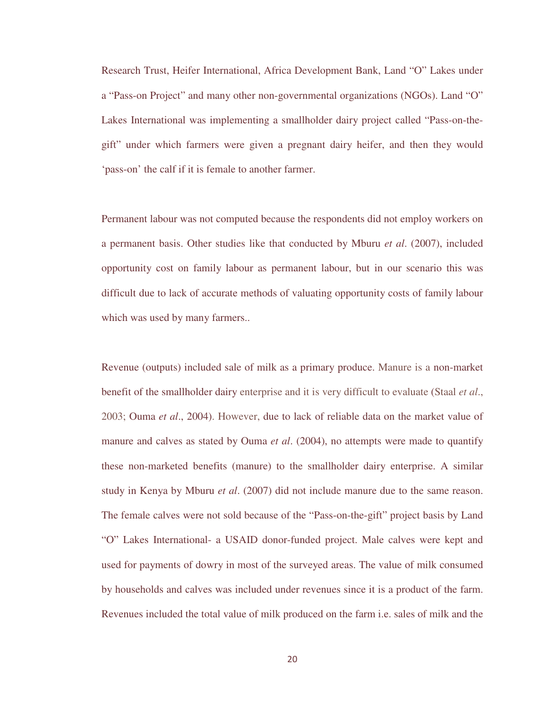Research Trust, Heifer International, Africa Development Bank, Land "O" Lakes under a "Pass-on Project" and many other non-governmental organizations (NGOs). Land "O" Lakes International was implementing a smallholder dairy project called "Pass-on-thegift" under which farmers were given a pregnant dairy heifer, and then they would 'pass-on' the calf if it is female to another farmer.

Permanent labour was not computed because the respondents did not employ workers on a permanent basis. Other studies like that conducted by Mburu *et al*. (2007), included opportunity cost on family labour as permanent labour, but in our scenario this was difficult due to lack of accurate methods of valuating opportunity costs of family labour which was used by many farmers..

Revenue (outputs) included sale of milk as a primary produce. Manure is a non-market benefit of the smallholder dairy enterprise and it is very difficult to evaluate (Staal *et al*., 2003; Ouma *et al*., 2004). However, due to lack of reliable data on the market value of manure and calves as stated by Ouma *et al*. (2004), no attempts were made to quantify these non-marketed benefits (manure) to the smallholder dairy enterprise. A similar study in Kenya by Mburu *et al*. (2007) did not include manure due to the same reason. The female calves were not sold because of the "Pass-on-the-gift" project basis by Land "O" Lakes International- a USAID donor-funded project. Male calves were kept and used for payments of dowry in most of the surveyed areas. The value of milk consumed by households and calves was included under revenues since it is a product of the farm. Revenues included the total value of milk produced on the farm i.e. sales of milk and the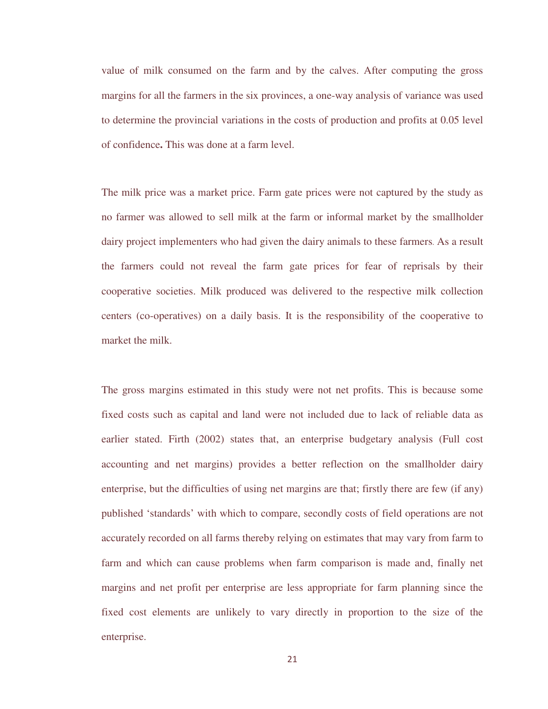value of milk consumed on the farm and by the calves. After computing the gross margins for all the farmers in the six provinces, a one-way analysis of variance was used to determine the provincial variations in the costs of production and profits at 0.05 level of confidence**.** This was done at a farm level.

The milk price was a market price. Farm gate prices were not captured by the study as no farmer was allowed to sell milk at the farm or informal market by the smallholder dairy project implementers who had given the dairy animals to these farmers. As a result the farmers could not reveal the farm gate prices for fear of reprisals by their cooperative societies. Milk produced was delivered to the respective milk collection centers (co-operatives) on a daily basis. It is the responsibility of the cooperative to market the milk.

The gross margins estimated in this study were not net profits. This is because some fixed costs such as capital and land were not included due to lack of reliable data as earlier stated. Firth (2002) states that, an enterprise budgetary analysis (Full cost accounting and net margins) provides a better reflection on the smallholder dairy enterprise, but the difficulties of using net margins are that; firstly there are few (if any) published 'standards' with which to compare, secondly costs of field operations are not accurately recorded on all farms thereby relying on estimates that may vary from farm to farm and which can cause problems when farm comparison is made and, finally net margins and net profit per enterprise are less appropriate for farm planning since the fixed cost elements are unlikely to vary directly in proportion to the size of the enterprise.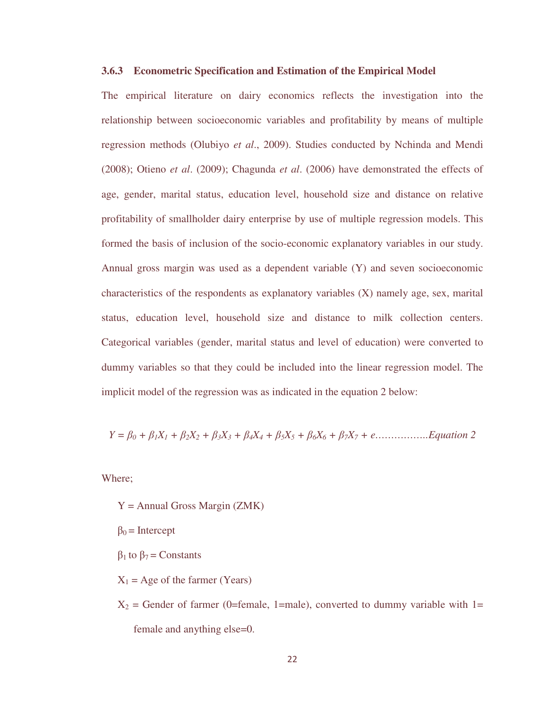#### **3.6.3 Econometric Specification and Estimation of the Empirical Model**

The empirical literature on dairy economics reflects the investigation into the relationship between socioeconomic variables and profitability by means of multiple regression methods (Olubiyo *et al*., 2009). Studies conducted by Nchinda and Mendi (2008); Otieno *et al*. (2009); Chagunda *et al*. (2006) have demonstrated the effects of age, gender, marital status, education level, household size and distance on relative profitability of smallholder dairy enterprise by use of multiple regression models. This formed the basis of inclusion of the socio-economic explanatory variables in our study. Annual gross margin was used as a dependent variable (Y) and seven socioeconomic characteristics of the respondents as explanatory variables (X) namely age, sex, marital status, education level, household size and distance to milk collection centers. Categorical variables (gender, marital status and level of education) were converted to dummy variables so that they could be included into the linear regression model. The implicit model of the regression was as indicated in the equation 2 below:

$$
Y = \beta_0 + \beta_1 X_1 + \beta_2 X_2 + \beta_3 X_3 + \beta_4 X_4 + \beta_5 X_5 + \beta_6 X_6 + \beta_7 X_7 + e
$$
............*Equation 2*

Where;

 $Y =$  Annual Gross Margin (ZMK)

 $\beta_0$  = Intercept

 $β<sub>1</sub>$  to  $β<sub>7</sub> =$  Constants

 $X_1$  = Age of the farmer (Years)

 $X_2$  = Gender of farmer (0=female, 1=male), converted to dummy variable with 1= female and anything else=0.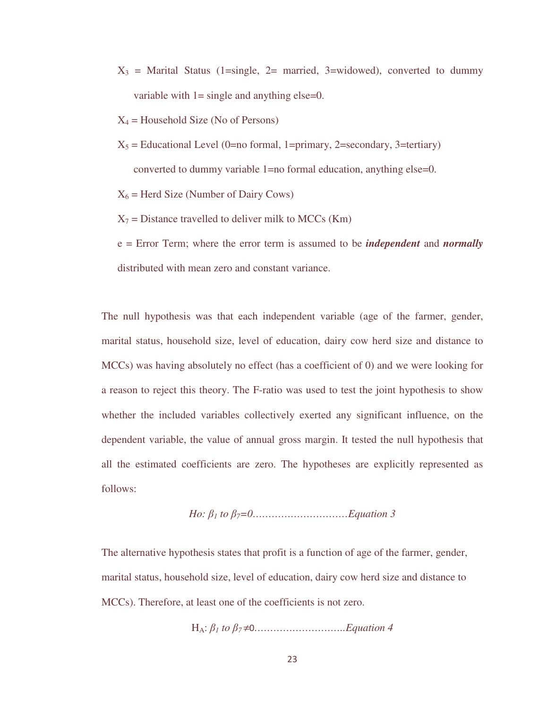$X_3$  = Marital Status (1=single, 2= married, 3=widowed), converted to dummy variable with  $1 =$  single and anything else=0.

 $X_4$  = Household Size (No of Persons)

 $X_5$  = Educational Level (0=no formal, 1=primary, 2=secondary, 3=tertiary) converted to dummy variable 1=no formal education, anything else=0.

 $X_6$  = Herd Size (Number of Dairy Cows)

 $X_7$  = Distance travelled to deliver milk to MCCs (Km)

e = Error Term; where the error term is assumed to be *independent* and *normally*  distributed with mean zero and constant variance.

The null hypothesis was that each independent variable (age of the farmer, gender, marital status, household size, level of education, dairy cow herd size and distance to MCCs) was having absolutely no effect (has a coefficient of 0) and we were looking for a reason to reject this theory. The F-ratio was used to test the joint hypothesis to show whether the included variables collectively exerted any significant influence, on the dependent variable, the value of annual gross margin. It tested the null hypothesis that all the estimated coefficients are zero. The hypotheses are explicitly represented as follows:

*Ho:* 
$$
\beta_1
$$
 *to*  $\beta_7$ =0................. Equation 3

The alternative hypothesis states that profit is a function of age of the farmer, gender, marital status, household size, level of education, dairy cow herd size and distance to MCCs). Therefore, at least one of the coefficients is not zero.

HA: β*1 to* β*7* ≠0*………………………..Equation 4*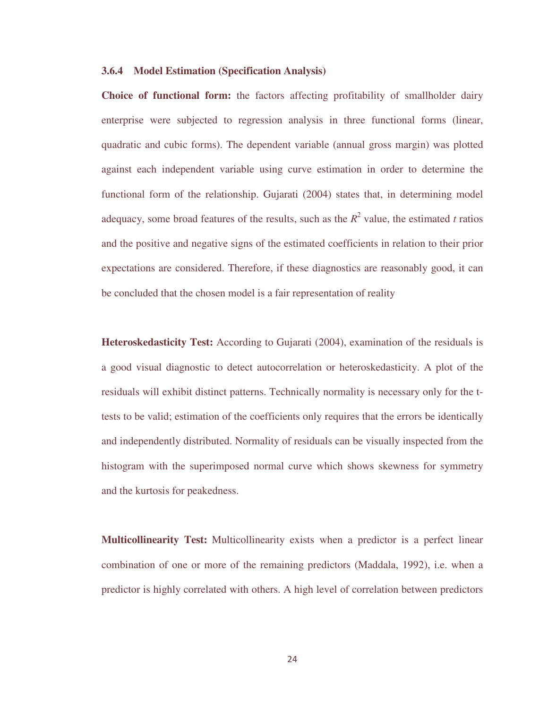#### **3.6.4 Model Estimation (Specification Analysis)**

**Choice of functional form:** the factors affecting profitability of smallholder dairy enterprise were subjected to regression analysis in three functional forms (linear, quadratic and cubic forms). The dependent variable (annual gross margin) was plotted against each independent variable using curve estimation in order to determine the functional form of the relationship. Gujarati (2004) states that, in determining model adequacy, some broad features of the results, such as the  $R^2$  value, the estimated *t* ratios and the positive and negative signs of the estimated coefficients in relation to their prior expectations are considered. Therefore, if these diagnostics are reasonably good, it can be concluded that the chosen model is a fair representation of reality

**Heteroskedasticity Test:** According to Gujarati (2004), examination of the residuals is a good visual diagnostic to detect autocorrelation or heteroskedasticity. A plot of the residuals will exhibit distinct patterns. Technically normality is necessary only for the ttests to be valid; estimation of the coefficients only requires that the errors be identically and independently distributed. Normality of residuals can be visually inspected from the histogram with the superimposed normal curve which shows skewness for symmetry and the kurtosis for peakedness.

**Multicollinearity Test:** Multicollinearity exists when a predictor is a perfect linear combination of one or more of the remaining predictors (Maddala, 1992), i.e. when a predictor is highly correlated with others. A high level of correlation between predictors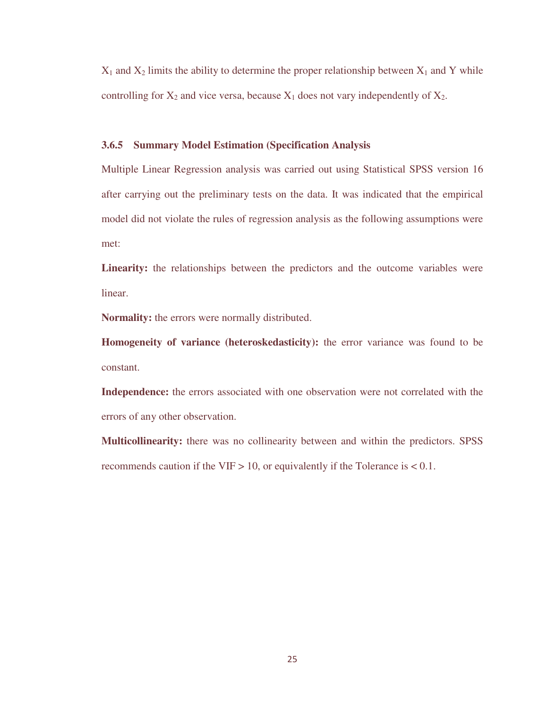$X_1$  and  $X_2$  limits the ability to determine the proper relationship between  $X_1$  and Y while controlling for  $X_2$  and vice versa, because  $X_1$  does not vary independently of  $X_2$ .

#### **3.6.5 Summary Model Estimation (Specification Analysis**

Multiple Linear Regression analysis was carried out using Statistical SPSS version 16 after carrying out the preliminary tests on the data. It was indicated that the empirical model did not violate the rules of regression analysis as the following assumptions were met:

**Linearity:** the relationships between the predictors and the outcome variables were linear.

**Normality:** the errors were normally distributed.

**Homogeneity of variance (heteroskedasticity):** the error variance was found to be constant.

**Independence:** the errors associated with one observation were not correlated with the errors of any other observation.

**Multicollinearity:** there was no collinearity between and within the predictors. SPSS recommends caution if the VIF  $> 10$ , or equivalently if the Tolerance is  $< 0.1$ .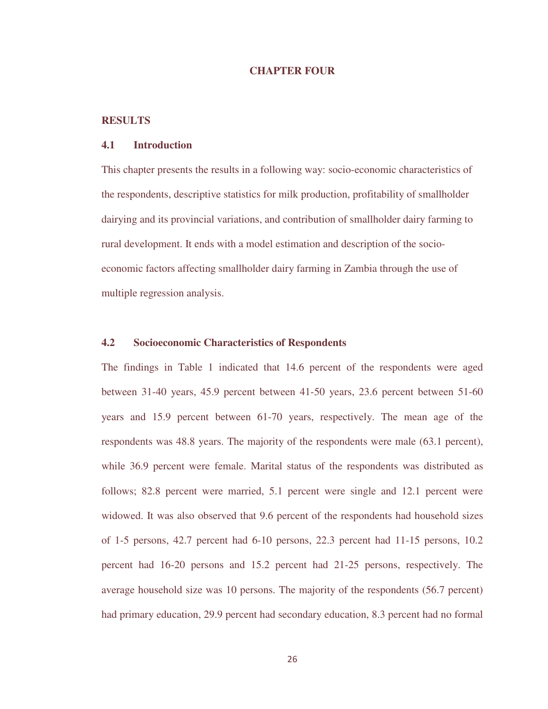#### **CHAPTER FOUR**

#### **RESULTS**

#### **4.1 Introduction**

This chapter presents the results in a following way: socio-economic characteristics of the respondents, descriptive statistics for milk production, profitability of smallholder dairying and its provincial variations, and contribution of smallholder dairy farming to rural development. It ends with a model estimation and description of the socioeconomic factors affecting smallholder dairy farming in Zambia through the use of multiple regression analysis.

#### **4.2 Socioeconomic Characteristics of Respondents**

The findings in Table 1 indicated that 14.6 percent of the respondents were aged between 31-40 years, 45.9 percent between 41-50 years, 23.6 percent between 51-60 years and 15.9 percent between 61-70 years, respectively. The mean age of the respondents was 48.8 years. The majority of the respondents were male (63.1 percent), while 36.9 percent were female. Marital status of the respondents was distributed as follows; 82.8 percent were married, 5.1 percent were single and 12.1 percent were widowed. It was also observed that 9.6 percent of the respondents had household sizes of 1-5 persons, 42.7 percent had 6-10 persons, 22.3 percent had 11-15 persons, 10.2 percent had 16-20 persons and 15.2 percent had 21-25 persons, respectively. The average household size was 10 persons. The majority of the respondents (56.7 percent) had primary education, 29.9 percent had secondary education, 8.3 percent had no formal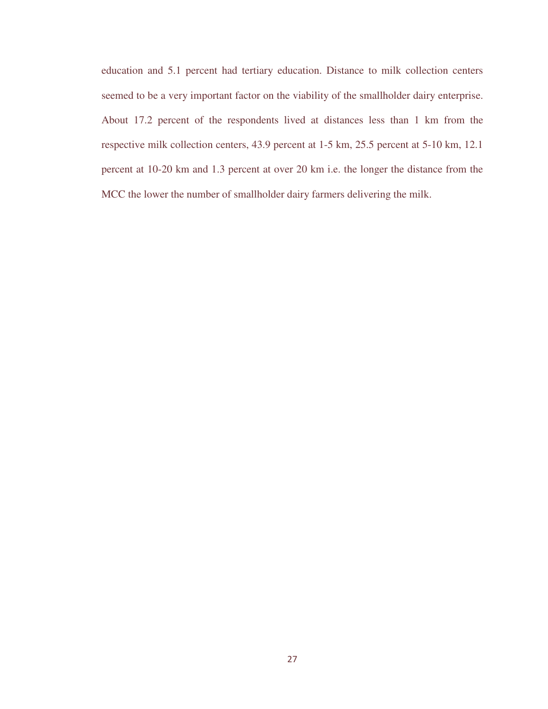education and 5.1 percent had tertiary education. Distance to milk collection centers seemed to be a very important factor on the viability of the smallholder dairy enterprise. About 17.2 percent of the respondents lived at distances less than 1 km from the respective milk collection centers, 43.9 percent at 1-5 km, 25.5 percent at 5-10 km, 12.1 percent at 10-20 km and 1.3 percent at over 20 km i.e. the longer the distance from the MCC the lower the number of smallholder dairy farmers delivering the milk.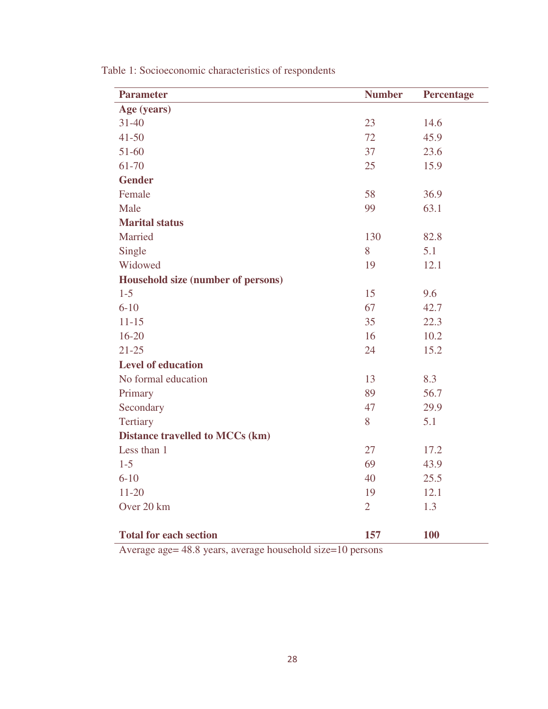| <b>Parameter</b>                       | <b>Number</b>  | <b>Percentage</b> |
|----------------------------------------|----------------|-------------------|
| Age (years)                            |                |                   |
| $31 - 40$                              | 23             | 14.6              |
| $41 - 50$                              | 72             | 45.9              |
| $51-60$                                | 37             | 23.6              |
| 61-70                                  | 25             | 15.9              |
| <b>Gender</b>                          |                |                   |
| Female                                 | 58             | 36.9              |
| Male                                   | 99             | 63.1              |
| <b>Marital status</b>                  |                |                   |
| Married                                | 130            | 82.8              |
| Single                                 | 8              | 5.1               |
| Widowed                                | 19             | 12.1              |
| Household size (number of persons)     |                |                   |
| $1 - 5$                                | 15             | 9.6               |
| $6 - 10$                               | 67             | 42.7              |
| $11 - 15$                              | 35             | 22.3              |
| $16 - 20$                              | 16             | 10.2              |
| $21 - 25$                              | 24             | 15.2              |
| <b>Level of education</b>              |                |                   |
| No formal education                    | 13             | 8.3               |
| Primary                                | 89             | 56.7              |
| Secondary                              | 47             | 29.9              |
| Tertiary                               | 8              | 5.1               |
| <b>Distance travelled to MCCs (km)</b> |                |                   |
| Less than 1                            | 27             | 17.2              |
| $1-5$                                  | 69             | 43.9              |
| $6 - 10$                               | 40             | 25.5              |
| $11 - 20$                              | 19             | 12.1              |
| Over 20 km                             | $\overline{2}$ | 1.3               |
|                                        |                |                   |
| <b>Total for each section</b>          | 157            | 100               |

Table 1: Socioeconomic characteristics of respondents

Average age= 48.8 years, average household size=10 persons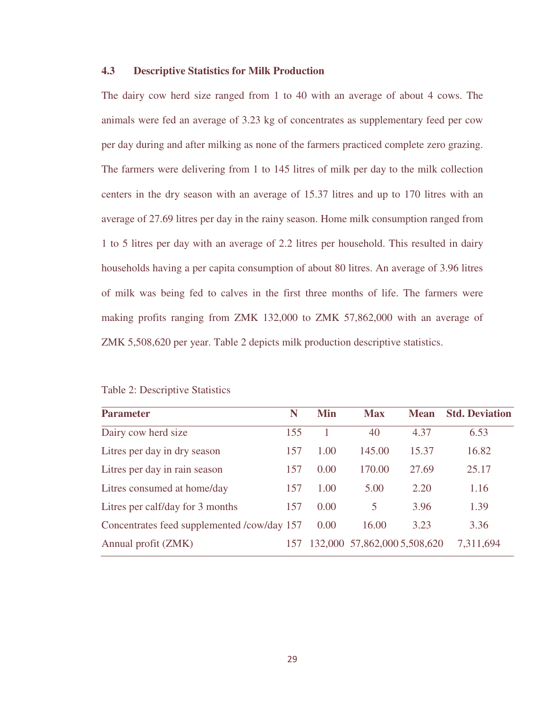#### **4.3 Descriptive Statistics for Milk Production**

The dairy cow herd size ranged from 1 to 40 with an average of about 4 cows. The animals were fed an average of 3.23 kg of concentrates as supplementary feed per cow per day during and after milking as none of the farmers practiced complete zero grazing. The farmers were delivering from 1 to 145 litres of milk per day to the milk collection centers in the dry season with an average of 15.37 litres and up to 170 litres with an average of 27.69 litres per day in the rainy season. Home milk consumption ranged from 1 to 5 litres per day with an average of 2.2 litres per household. This resulted in dairy households having a per capita consumption of about 80 litres. An average of 3.96 litres of milk was being fed to calves in the first three months of life. The farmers were making profits ranging from ZMK 132,000 to ZMK 57,862,000 with an average of ZMK 5,508,620 per year. Table 2 depicts milk production descriptive statistics.

| <b>Parameter</b>                            | N   | <b>Min</b> | <b>Max</b>                   | <b>Mean</b> | <b>Std. Deviation</b> |
|---------------------------------------------|-----|------------|------------------------------|-------------|-----------------------|
| Dairy cow herd size                         | 155 |            | 40                           | 4.37        | 6.53                  |
| Litres per day in dry season                | 157 | 1.00       | 145.00                       | 15.37       | 16.82                 |
| Litres per day in rain season               | 157 | 0.00       | 170.00                       | 27.69       | 25.17                 |
| Litres consumed at home/day                 | 157 | 1.00       | 5.00                         | 2.20        | 1.16                  |
| Litres per calf/day for 3 months            | 157 | 0.00       | 5                            | 3.96        | 1.39                  |
| Concentrates feed supplemented /cow/day 157 |     | 0.00       | 16.00                        | 3.23        | 3.36                  |
| Annual profit (ZMK)                         | 157 |            | 132,000 57,862,000 5,508,620 |             | 7,311,694             |

Table 2: Descriptive Statistics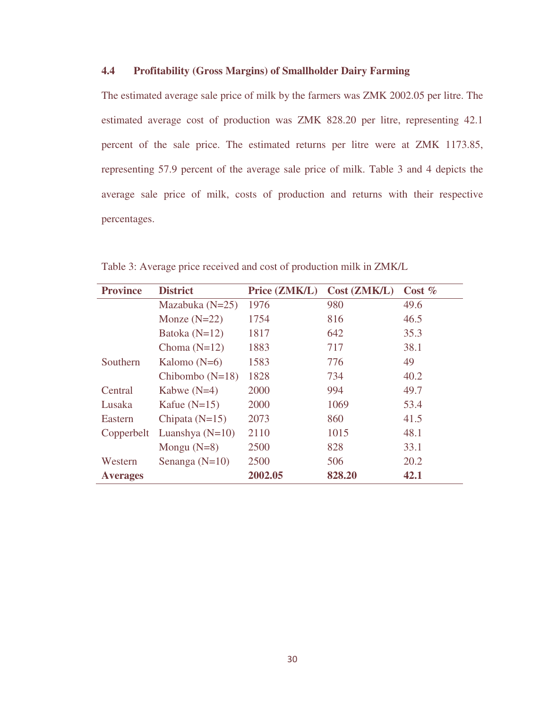#### **4.4 Profitability (Gross Margins) of Smallholder Dairy Farming**

The estimated average sale price of milk by the farmers was ZMK 2002.05 per litre. The estimated average cost of production was ZMK 828.20 per litre, representing 42.1 percent of the sale price. The estimated returns per litre were at ZMK 1173.85, representing 57.9 percent of the average sale price of milk. Table 3 and 4 depicts the average sale price of milk, costs of production and returns with their respective percentages.

| <b>Province</b> | <b>District</b>   | Price (ZMK/L) | Cost (ZMK/L) | Cost $%$ |
|-----------------|-------------------|---------------|--------------|----------|
|                 | Mazabuka $(N=25)$ | 1976          | 980          | 49.6     |
|                 | Monze $(N=22)$    | 1754          | 816          | 46.5     |
|                 | Batoka $(N=12)$   | 1817          | 642          | 35.3     |
|                 | Choma $(N=12)$    | 1883          | 717          | 38.1     |
| Southern        | Kalomo $(N=6)$    | 1583          | 776          | 49       |
|                 | Chibombo $(N=18)$ | 1828          | 734          | 40.2     |
| Central         | Kabwe $(N=4)$     | 2000          | 994          | 49.7     |
| Lusaka          | Kafue $(N=15)$    | 2000          | 1069         | 53.4     |
| Eastern         | Chipata $(N=15)$  | 2073          | 860          | 41.5     |
| Copperbelt      | Luanshya $(N=10)$ | 2110          | 1015         | 48.1     |
|                 | Mongu $(N=8)$     | 2500          | 828          | 33.1     |
| Western         | Senanga $(N=10)$  | 2500          | 506          | 20.2     |
| <b>Averages</b> |                   | 2002.05       | 828.20       | 42.1     |

Table 3: Average price received and cost of production milk in ZMK/L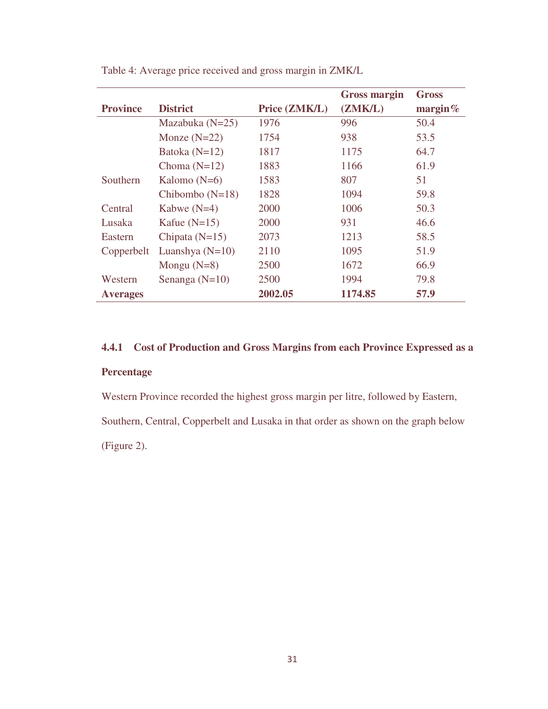|                 |                   |               | <b>Gross margin</b> | <b>Gross</b> |
|-----------------|-------------------|---------------|---------------------|--------------|
| <b>Province</b> | <b>District</b>   | Price (ZMK/L) | (ZMK/L)             | margin $%$   |
|                 | Mazabuka $(N=25)$ | 1976          | 996                 | 50.4         |
|                 | Monze $(N=22)$    | 1754          | 938                 | 53.5         |
|                 | Batoka $(N=12)$   | 1817          | 1175                | 64.7         |
|                 | Choma $(N=12)$    | 1883          | 1166                | 61.9         |
| Southern        | Kalomo $(N=6)$    | 1583          | 807                 | 51           |
|                 | Chibombo $(N=18)$ | 1828          | 1094                | 59.8         |
| Central         | Kabwe $(N=4)$     | 2000          | 1006                | 50.3         |
| Lusaka          | Kafue $(N=15)$    | 2000          | 931                 | 46.6         |
| Eastern         | Chipata $(N=15)$  | 2073          | 1213                | 58.5         |
| Copperbelt      | Luanshya $(N=10)$ | 2110          | 1095                | 51.9         |
|                 | Mongu $(N=8)$     | 2500          | 1672                | 66.9         |
| Western         | Senanga $(N=10)$  | 2500          | 1994                | 79.8         |
| <b>Averages</b> |                   | 2002.05       | 1174.85             | 57.9         |

Table 4: Average price received and gross margin in ZMK/L

### **4.4.1 Cost of Production and Gross Margins from each Province Expressed as a**

### **Percentage**

Western Province recorded the highest gross margin per litre, followed by Eastern,

Southern, Central, Copperbelt and Lusaka in that order as shown on the graph below (Figure 2).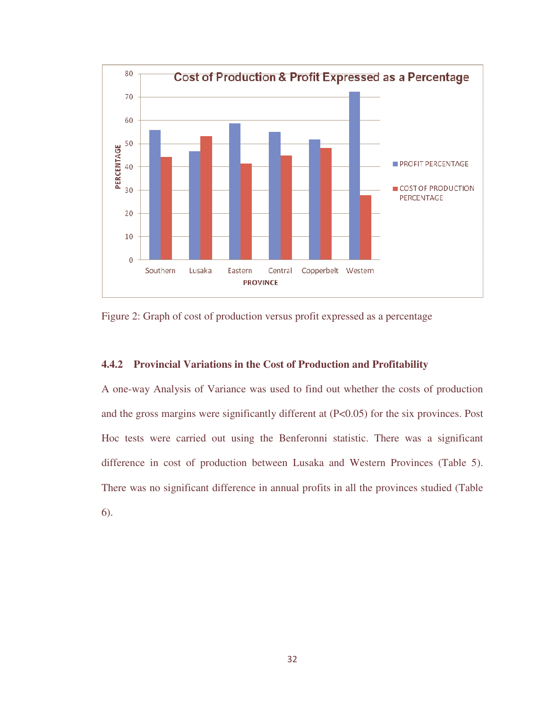

Figure 2: Graph of cost of production versus profit expressed as a percentage

#### **4.4.2 Provincial Variations in the Cost of Production and Profitability**

A one-way Analysis of Variance was used to find out whether the costs of production and the gross margins were significantly different at (P<0.05) for the six provinces. Post Hoc tests were carried out using the Benferonni statistic. There was a significant difference in cost of production between Lusaka and Western Provinces (Table 5). There was no significant difference in annual profits in all the provinces studied (Table 6).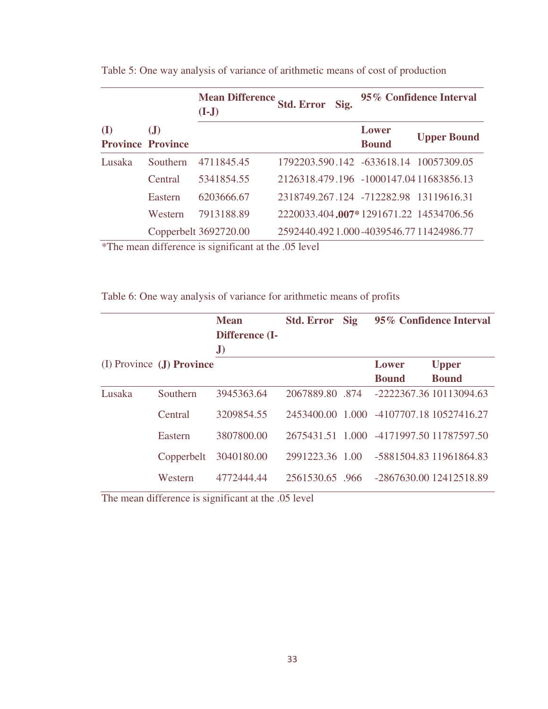|        |                               | <b>Mean Difference</b><br>$(I-J)$                                                 | Std. Error Sig.                        |                       | 95% Confidence Interval |
|--------|-------------------------------|-----------------------------------------------------------------------------------|----------------------------------------|-----------------------|-------------------------|
| (I)    | J<br><b>Province Province</b> |                                                                                   |                                        | Lower<br><b>Bound</b> | <b>Upper Bound</b>      |
| Lusaka | Southern                      | 4711845.45                                                                        | 1792203.590.142 -633618.14 10057309.05 |                       |                         |
|        | Central                       | 5341854.55                                                                        | 2126318.479.196 -1000147.0411683856.13 |                       |                         |
|        | Eastern                       | 6203666.67                                                                        | 2318749.267.124 -712282.98 13119616.31 |                       |                         |
|        | Western                       | 7913188.89                                                                        | 2220033.404.007*1291671.22 14534706.56 |                       |                         |
|        |                               | Copperbelt 3692720.00<br>$*$ The mean difference is significant of the $05$ level | 2592440.4921.000-4039546.7711424986.77 |                       |                         |

Table 5: One way analysis of variance of arithmetic means of cost of production

\*The mean difference is significant at the .05 level

Table 6: One way analysis of variance for arithmetic means of profits

|        |                           | <b>Mean</b><br>Difference (I-<br>$\mathbf{J}$ | <b>Std. Error</b> Sig |                                          | 95% Confidence Interval                  |
|--------|---------------------------|-----------------------------------------------|-----------------------|------------------------------------------|------------------------------------------|
|        | (I) Province (J) Province |                                               |                       | Lower                                    | <b>Upper</b>                             |
|        |                           |                                               |                       | <b>Bound</b>                             | <b>Bound</b>                             |
| Lusaka | Southern                  | 3945363.64                                    | 2067889.80 .874       |                                          | -2222367.36 10113094.63                  |
|        | Central                   | 3209854.55                                    |                       | 2453400.00 1.000 -4107707.18 10527416.27 |                                          |
|        | Eastern                   | 3807800.00                                    |                       |                                          | 2675431.51 1.000 -4171997.50 11787597.50 |
|        | Copperbelt                | 3040180.00                                    | 2991223.36 1.00       |                                          | -5881504.83 11961864.83                  |
|        | Western                   | 4772444.44                                    | 2561530.65 .966       |                                          | -2867630.00 12412518.89                  |

The mean difference is significant at the .05 level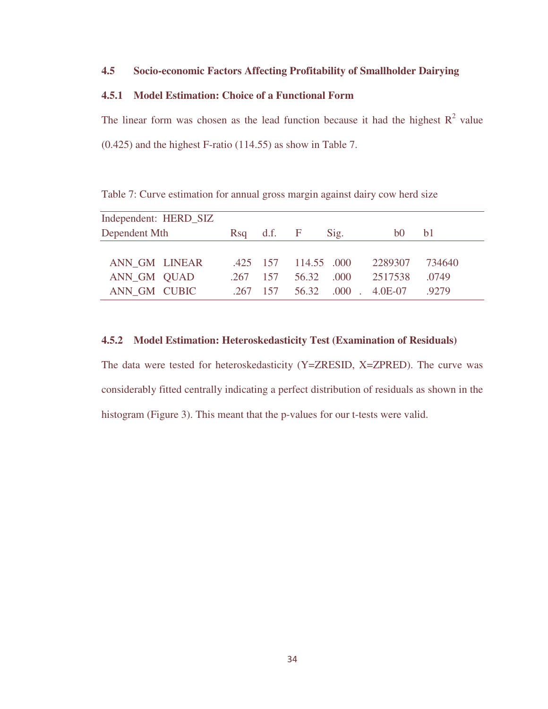#### **4.5 Socio-economic Factors Affecting Profitability of Smallholder Dairying**

#### **4.5.1 Model Estimation: Choice of a Functional Form**

The linear form was chosen as the lead function because it had the highest  $R^2$  value (0.425) and the highest F-ratio (114.55) as show in Table 7.

| Independent: HERD_SIZ |            |                                     |                      |  |
|-----------------------|------------|-------------------------------------|----------------------|--|
| Dependent Mth         |            | $\operatorname{Rsq}$ d.f. F<br>Sig. | b0<br>b <sub>1</sub> |  |
|                       |            |                                     |                      |  |
| ANN GM LINEAR         |            | 425 157 114.55 000                  | 2289307<br>734640    |  |
| ANN GM QUAD           | $.267$ 157 | 56.32 .000                          | 2517538<br>.0749     |  |
| ANN GM CUBIC          | 267 157    | 56.32 .000 . 4.0E-07                | 92.79                |  |

Table 7: Curve estimation for annual gross margin against dairy cow herd size

#### **4.5.2 Model Estimation: Heteroskedasticity Test (Examination of Residuals)**

The data were tested for heteroskedasticity (Y=ZRESID, X=ZPRED). The curve was considerably fitted centrally indicating a perfect distribution of residuals as shown in the histogram (Figure 3). This meant that the p-values for our t-tests were valid.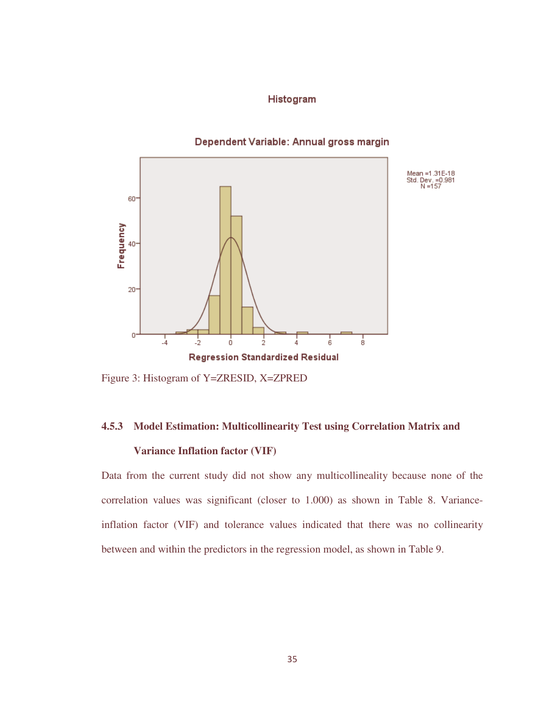#### Histogram

#### Dependent Variable: Annual gross margin



Figure 3: Histogram of Y=ZRESID, X=ZPRED

#### **4.5.3 Model Estimation: Multicollinearity Test using Correlation Matrix and**

#### **Variance Inflation factor (VIF)**

Data from the current study did not show any multicollineality because none of the correlation values was significant (closer to 1.000) as shown in Table 8. Varianceinflation factor (VIF) and tolerance values indicated that there was no collinearity between and within the predictors in the regression model, as shown in Table 9.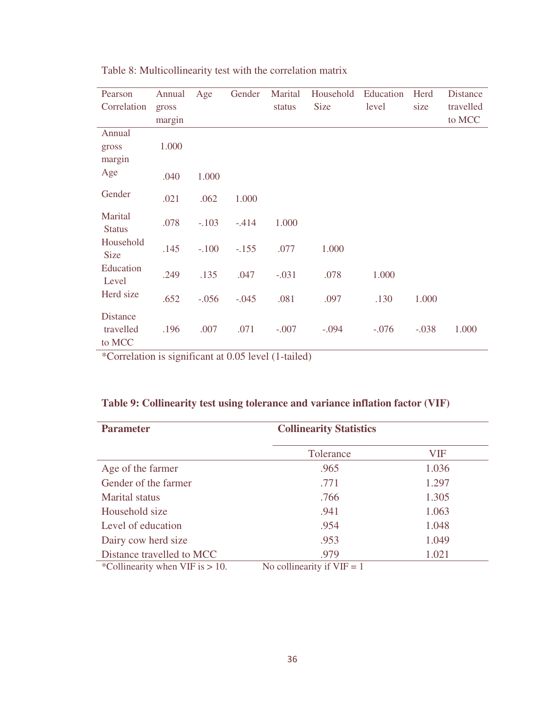| Pearson                                | Annual | Age     | Gender  | Marital | Household   | Education | Herd    | <b>Distance</b> |
|----------------------------------------|--------|---------|---------|---------|-------------|-----------|---------|-----------------|
| Correlation                            | gross  |         |         | status  | <b>Size</b> | level     | size    | travelled       |
|                                        | margin |         |         |         |             |           |         | to MCC          |
| Annual                                 |        |         |         |         |             |           |         |                 |
| gross                                  | 1.000  |         |         |         |             |           |         |                 |
| margin                                 |        |         |         |         |             |           |         |                 |
| Age                                    | .040   | 1.000   |         |         |             |           |         |                 |
| Gender                                 | .021   | .062    | 1.000   |         |             |           |         |                 |
| Marital<br><b>Status</b>               | .078   | $-.103$ | $-414$  | 1.000   |             |           |         |                 |
| Household<br><b>Size</b>               | .145   | $-.100$ | $-.155$ | .077    | 1.000       |           |         |                 |
| Education<br>Level                     | .249   | .135    | .047    | $-.031$ | .078        | 1.000     |         |                 |
| Herd size                              | .652   | $-.056$ | $-.045$ | .081    | .097        | .130      | 1.000   |                 |
| <b>Distance</b><br>travelled<br>to MCC | .196   | .007    | .071    | $-.007$ | $-.094$     | $-.076$   | $-.038$ | 1.000           |

Table 8: Multicollinearity test with the correlation matrix

\*Correlation is significant at 0.05 level (1-tailed)

| Table 9: Collinearity test using tolerance and variance inflation factor (VIF) |  |  |  |
|--------------------------------------------------------------------------------|--|--|--|
|--------------------------------------------------------------------------------|--|--|--|

| <b>Parameter</b>                   | <b>Collinearity Statistics</b> |       |  |
|------------------------------------|--------------------------------|-------|--|
|                                    | Tolerance                      | VIF   |  |
| Age of the farmer                  | .965                           | 1.036 |  |
| Gender of the farmer               | .771                           | 1.297 |  |
| <b>Marital</b> status              | .766                           | 1.305 |  |
| Household size                     | .941                           | 1.063 |  |
| Level of education                 | .954                           | 1.048 |  |
| Dairy cow herd size                | .953                           | 1.049 |  |
| Distance travelled to MCC          | .979                           | 1.021 |  |
| *Collinearity when VIF is $> 10$ . | No collinearity if $VIF = 1$   |       |  |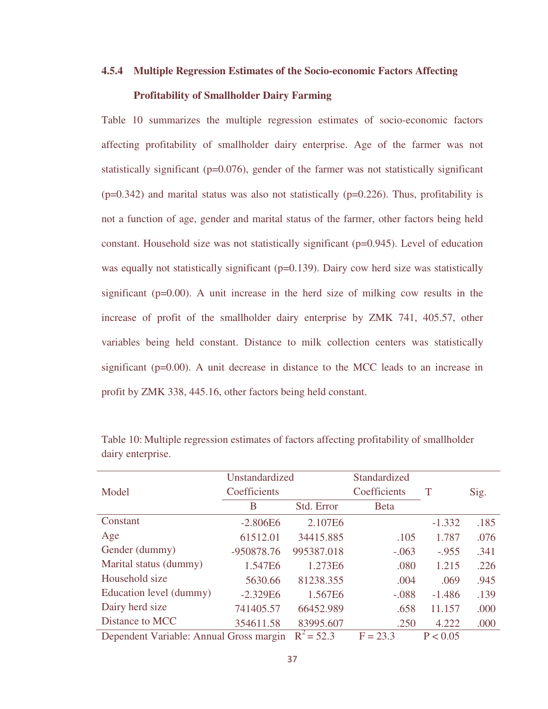# **4.5.4 Multiple Regression Estimates of the Socio-economic Factors Affecting**

#### **Profitability of Smallholder Dairy Farming**

Table 10 summarizes the multiple regression estimates of socio-economic factors affecting profitability of smallholder dairy enterprise. Age of the farmer was not statistically significant ( $p=0.076$ ), gender of the farmer was not statistically significant  $(p=0.342)$  and marital status was also not statistically  $(p=0.226)$ . Thus, profitability is not a function of age, gender and marital status of the farmer, other factors being held constant. Household size was not statistically significant (p=0.945). Level of education was equally not statistically significant ( $p=0.139$ ). Dairy cow herd size was statistically significant  $(p=0.00)$ . A unit increase in the herd size of milking cow results in the increase of profit of the smallholder dairy enterprise by ZMK 741, 405.57, other variables being held constant. Distance to milk collection centers was statistically significant (p=0.00). A unit decrease in distance to the MCC leads to an increase in profit by ZMK 338, 445.16, other factors being held constant.

|                                         | Unstandardized |              | Standardized |          |      |
|-----------------------------------------|----------------|--------------|--------------|----------|------|
| Model                                   | Coefficients   |              | Coefficients | T        | Sig. |
|                                         | B              | Std. Error   | <b>Beta</b>  |          |      |
| Constant                                | $-2.806E6$     | 2.107E6      |              | $-1.332$ | .185 |
| Age                                     | 61512.01       | 34415.885    | .105         | 1.787    | .076 |
| Gender (dummy)                          | -950878.76     | 995387.018   | $-.063$      | $-.955$  | .341 |
| Marital status (dummy)                  | 1.547E6        | 1.273E6      | .080         | 1.215    | .226 |
| Household size                          | 5630.66        | 81238.355    | .004         | .069     | .945 |
| Education level (dummy)                 | $-2.329E6$     | 1.567E6      | $-.088$      | $-1.486$ | .139 |
| Dairy herd size                         | 741405.57      | 66452.989    | .658         | 11.157   | .000 |
| Distance to MCC                         | 354611.58      | 83995.607    | .250         | 4.222    | .000 |
| Dependent Variable: Annual Gross margin |                | $R^2 = 52.3$ | $F = 23.3$   | P < 0.05 |      |

Table 10: Multiple regression estimates of factors affecting profitability of smallholder dairy enterprise.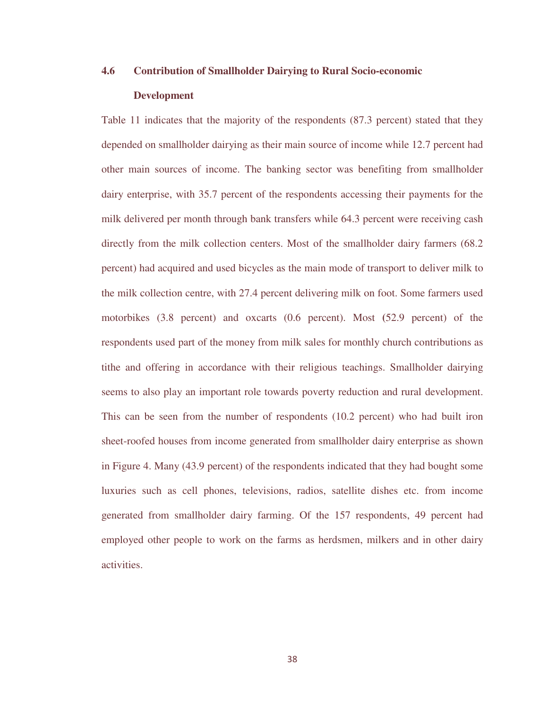# **4.6 Contribution of Smallholder Dairying to Rural Socio-economic Development**

Table 11 indicates that the majority of the respondents (87.3 percent) stated that they depended on smallholder dairying as their main source of income while 12.7 percent had other main sources of income. The banking sector was benefiting from smallholder dairy enterprise, with 35.7 percent of the respondents accessing their payments for the milk delivered per month through bank transfers while 64.3 percent were receiving cash directly from the milk collection centers. Most of the smallholder dairy farmers (68.2 percent) had acquired and used bicycles as the main mode of transport to deliver milk to the milk collection centre, with 27.4 percent delivering milk on foot. Some farmers used motorbikes (3.8 percent) and oxcarts (0.6 percent). Most **(**52.9 percent) of the respondents used part of the money from milk sales for monthly church contributions as tithe and offering in accordance with their religious teachings. Smallholder dairying seems to also play an important role towards poverty reduction and rural development. This can be seen from the number of respondents (10.2 percent) who had built iron sheet-roofed houses from income generated from smallholder dairy enterprise as shown in Figure 4. Many (43.9 percent) of the respondents indicated that they had bought some luxuries such as cell phones, televisions, radios, satellite dishes etc. from income generated from smallholder dairy farming. Of the 157 respondents, 49 percent had employed other people to work on the farms as herdsmen, milkers and in other dairy activities.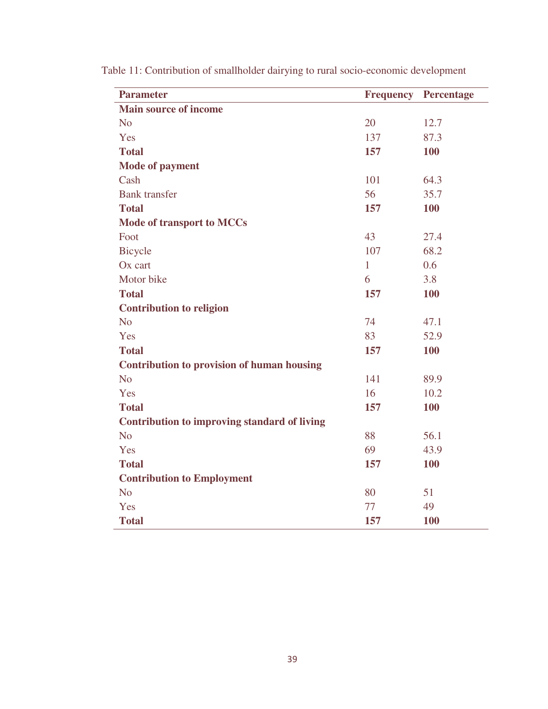| <b>Parameter</b>                                    | <b>Frequency</b> | <b>Percentage</b> |
|-----------------------------------------------------|------------------|-------------------|
| <b>Main source of income</b>                        |                  |                   |
| N <sub>o</sub>                                      | 20               | 12.7              |
| Yes                                                 | 137              | 87.3              |
| <b>Total</b>                                        | 157              | 100               |
| <b>Mode of payment</b>                              |                  |                   |
| Cash                                                | 101              | 64.3              |
| <b>Bank</b> transfer                                | 56               | 35.7              |
| <b>Total</b>                                        | 157              | <b>100</b>        |
| <b>Mode of transport to MCCs</b>                    |                  |                   |
| Foot                                                | 43               | 27.4              |
| <b>Bicycle</b>                                      | 107              | 68.2              |
| Ox cart                                             | $\mathbf{1}$     | 0.6               |
| Motor bike                                          | 6                | 3.8               |
| <b>Total</b>                                        | 157              | <b>100</b>        |
| <b>Contribution to religion</b>                     |                  |                   |
| N <sub>o</sub>                                      | 74               | 47.1              |
| Yes                                                 | 83               | 52.9              |
| <b>Total</b>                                        | 157              | <b>100</b>        |
| <b>Contribution to provision of human housing</b>   |                  |                   |
| N <sub>o</sub>                                      | 141              | 89.9              |
| Yes                                                 | 16               | 10.2              |
| <b>Total</b>                                        | 157              | <b>100</b>        |
| <b>Contribution to improving standard of living</b> |                  |                   |
| N <sub>o</sub>                                      | 88               | 56.1              |
| Yes                                                 | 69               | 43.9              |
| <b>Total</b>                                        | 157              | <b>100</b>        |
| <b>Contribution to Employment</b>                   |                  |                   |
| N <sub>o</sub>                                      | 80               | 51                |
| Yes                                                 | 77               | 49                |
| <b>Total</b>                                        | 157              | 100               |

Table 11: Contribution of smallholder dairying to rural socio-economic development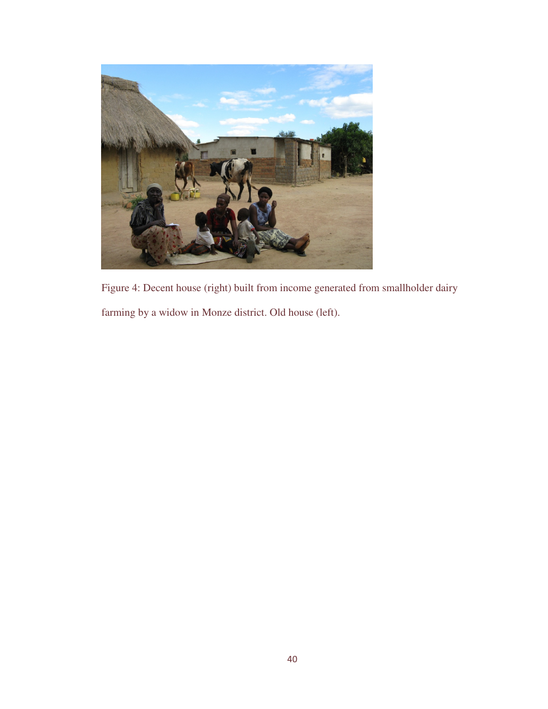

Figure 4: Decent house (right) built from income generated from smallholder dairy farming by a widow in Monze district. Old house (left).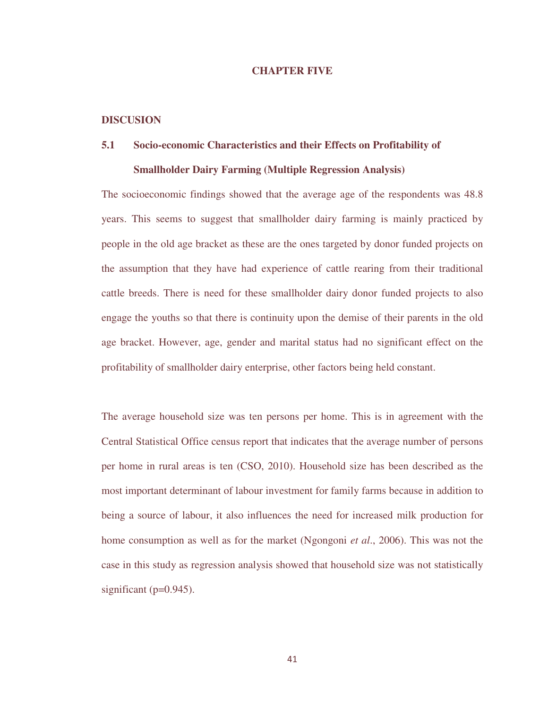#### **CHAPTER FIVE**

#### **DISCUSION**

# **5.1 Socio-economic Characteristics and their Effects on Profitability of Smallholder Dairy Farming (Multiple Regression Analysis)**

The socioeconomic findings showed that the average age of the respondents was 48.8 years. This seems to suggest that smallholder dairy farming is mainly practiced by people in the old age bracket as these are the ones targeted by donor funded projects on the assumption that they have had experience of cattle rearing from their traditional cattle breeds. There is need for these smallholder dairy donor funded projects to also engage the youths so that there is continuity upon the demise of their parents in the old age bracket. However, age, gender and marital status had no significant effect on the profitability of smallholder dairy enterprise, other factors being held constant.

The average household size was ten persons per home. This is in agreement with the Central Statistical Office census report that indicates that the average number of persons per home in rural areas is ten (CSO, 2010). Household size has been described as the most important determinant of labour investment for family farms because in addition to being a source of labour, it also influences the need for increased milk production for home consumption as well as for the market (Ngongoni *et al*., 2006). This was not the case in this study as regression analysis showed that household size was not statistically significant ( $p=0.945$ ).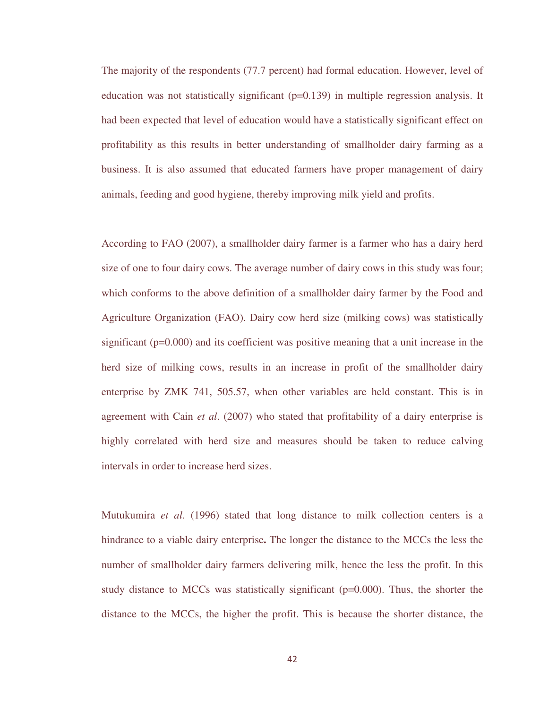The majority of the respondents (77.7 percent) had formal education. However, level of education was not statistically significant  $(p=0.139)$  in multiple regression analysis. It had been expected that level of education would have a statistically significant effect on profitability as this results in better understanding of smallholder dairy farming as a business. It is also assumed that educated farmers have proper management of dairy animals, feeding and good hygiene, thereby improving milk yield and profits.

According to FAO (2007), a smallholder dairy farmer is a farmer who has a dairy herd size of one to four dairy cows. The average number of dairy cows in this study was four; which conforms to the above definition of a smallholder dairy farmer by the Food and Agriculture Organization (FAO). Dairy cow herd size (milking cows) was statistically significant (p=0.000) and its coefficient was positive meaning that a unit increase in the herd size of milking cows, results in an increase in profit of the smallholder dairy enterprise by ZMK 741, 505.57, when other variables are held constant. This is in agreement with Cain *et al*. (2007) who stated that profitability of a dairy enterprise is highly correlated with herd size and measures should be taken to reduce calving intervals in order to increase herd sizes.

Mutukumira *et al*. (1996) stated that long distance to milk collection centers is a hindrance to a viable dairy enterprise**.** The longer the distance to the MCCs the less the number of smallholder dairy farmers delivering milk, hence the less the profit. In this study distance to MCCs was statistically significant  $(p=0.000)$ . Thus, the shorter the distance to the MCCs, the higher the profit. This is because the shorter distance, the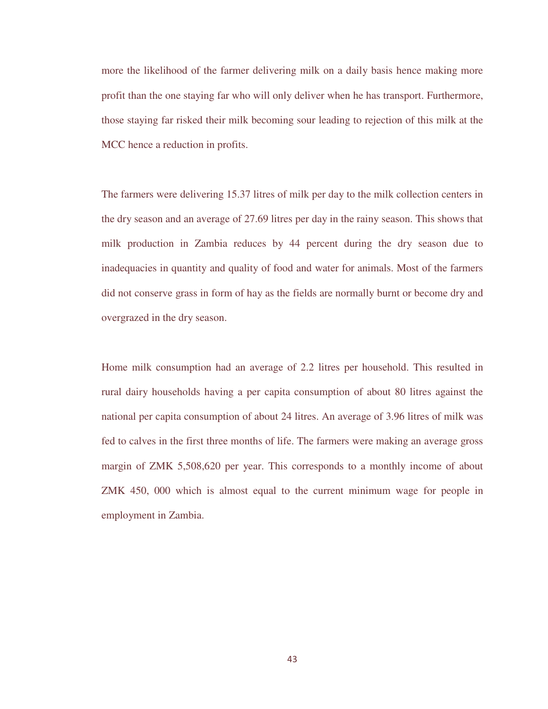more the likelihood of the farmer delivering milk on a daily basis hence making more profit than the one staying far who will only deliver when he has transport. Furthermore, those staying far risked their milk becoming sour leading to rejection of this milk at the MCC hence a reduction in profits.

The farmers were delivering 15.37 litres of milk per day to the milk collection centers in the dry season and an average of 27.69 litres per day in the rainy season. This shows that milk production in Zambia reduces by 44 percent during the dry season due to inadequacies in quantity and quality of food and water for animals. Most of the farmers did not conserve grass in form of hay as the fields are normally burnt or become dry and overgrazed in the dry season.

Home milk consumption had an average of 2.2 litres per household. This resulted in rural dairy households having a per capita consumption of about 80 litres against the national per capita consumption of about 24 litres. An average of 3.96 litres of milk was fed to calves in the first three months of life. The farmers were making an average gross margin of ZMK 5,508,620 per year. This corresponds to a monthly income of about ZMK 450, 000 which is almost equal to the current minimum wage for people in employment in Zambia.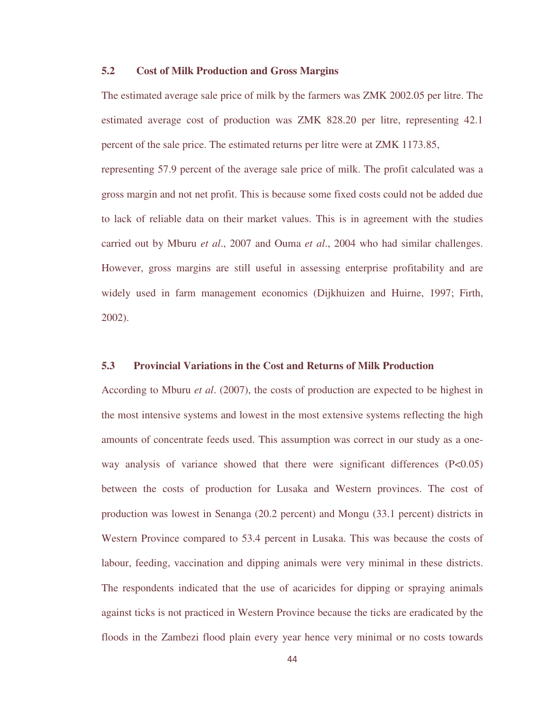#### **5.2 Cost of Milk Production and Gross Margins**

The estimated average sale price of milk by the farmers was ZMK 2002.05 per litre. The estimated average cost of production was ZMK 828.20 per litre, representing 42.1 percent of the sale price. The estimated returns per litre were at ZMK 1173.85, representing 57.9 percent of the average sale price of milk. The profit calculated was a gross margin and not net profit. This is because some fixed costs could not be added due to lack of reliable data on their market values. This is in agreement with the studies carried out by Mburu *et al*., 2007 and Ouma *et al*., 2004 who had similar challenges. However, gross margins are still useful in assessing enterprise profitability and are widely used in farm management economics (Dijkhuizen and Huirne, 1997; Firth, 2002).

#### **5.3 Provincial Variations in the Cost and Returns of Milk Production**

According to Mburu *et al*. (2007), the costs of production are expected to be highest in the most intensive systems and lowest in the most extensive systems reflecting the high amounts of concentrate feeds used. This assumption was correct in our study as a oneway analysis of variance showed that there were significant differences  $(P<0.05)$ between the costs of production for Lusaka and Western provinces. The cost of production was lowest in Senanga (20.2 percent) and Mongu (33.1 percent) districts in Western Province compared to 53.4 percent in Lusaka. This was because the costs of labour, feeding, vaccination and dipping animals were very minimal in these districts. The respondents indicated that the use of acaricides for dipping or spraying animals against ticks is not practiced in Western Province because the ticks are eradicated by the floods in the Zambezi flood plain every year hence very minimal or no costs towards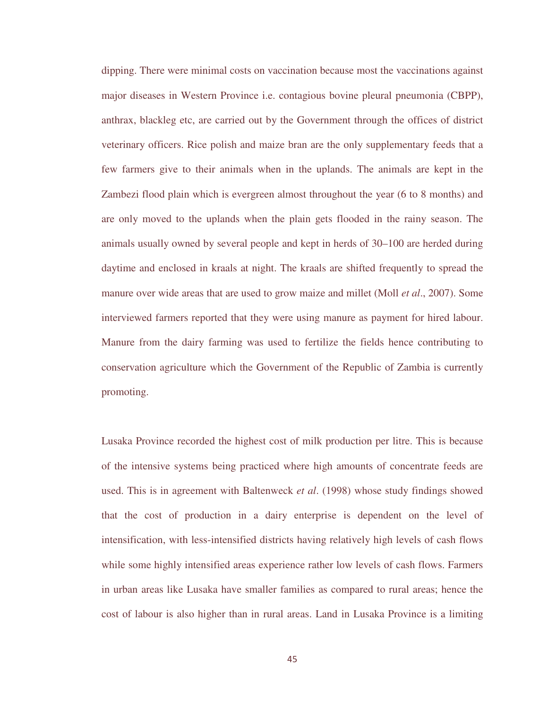dipping. There were minimal costs on vaccination because most the vaccinations against major diseases in Western Province i.e. contagious bovine pleural pneumonia (CBPP), anthrax, blackleg etc, are carried out by the Government through the offices of district veterinary officers. Rice polish and maize bran are the only supplementary feeds that a few farmers give to their animals when in the uplands. The animals are kept in the Zambezi flood plain which is evergreen almost throughout the year (6 to 8 months) and are only moved to the uplands when the plain gets flooded in the rainy season. The animals usually owned by several people and kept in herds of 30–100 are herded during daytime and enclosed in kraals at night. The kraals are shifted frequently to spread the manure over wide areas that are used to grow maize and millet (Moll *et al*., 2007). Some interviewed farmers reported that they were using manure as payment for hired labour. Manure from the dairy farming was used to fertilize the fields hence contributing to conservation agriculture which the Government of the Republic of Zambia is currently promoting.

Lusaka Province recorded the highest cost of milk production per litre. This is because of the intensive systems being practiced where high amounts of concentrate feeds are used. This is in agreement with Baltenweck *et al*. (1998) whose study findings showed that the cost of production in a dairy enterprise is dependent on the level of intensification, with less-intensified districts having relatively high levels of cash flows while some highly intensified areas experience rather low levels of cash flows. Farmers in urban areas like Lusaka have smaller families as compared to rural areas; hence the cost of labour is also higher than in rural areas. Land in Lusaka Province is a limiting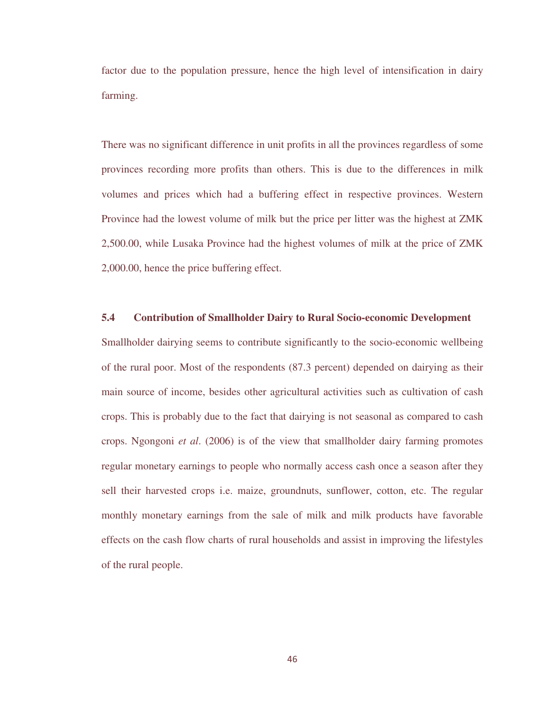factor due to the population pressure, hence the high level of intensification in dairy farming.

There was no significant difference in unit profits in all the provinces regardless of some provinces recording more profits than others. This is due to the differences in milk volumes and prices which had a buffering effect in respective provinces. Western Province had the lowest volume of milk but the price per litter was the highest at ZMK 2,500.00, while Lusaka Province had the highest volumes of milk at the price of ZMK 2,000.00, hence the price buffering effect.

#### **5.4 Contribution of Smallholder Dairy to Rural Socio-economic Development**

Smallholder dairying seems to contribute significantly to the socio-economic wellbeing of the rural poor. Most of the respondents (87.3 percent) depended on dairying as their main source of income, besides other agricultural activities such as cultivation of cash crops. This is probably due to the fact that dairying is not seasonal as compared to cash crops. Ngongoni *et al*. (2006) is of the view that smallholder dairy farming promotes regular monetary earnings to people who normally access cash once a season after they sell their harvested crops i.e. maize, groundnuts, sunflower, cotton, etc. The regular monthly monetary earnings from the sale of milk and milk products have favorable effects on the cash flow charts of rural households and assist in improving the lifestyles of the rural people.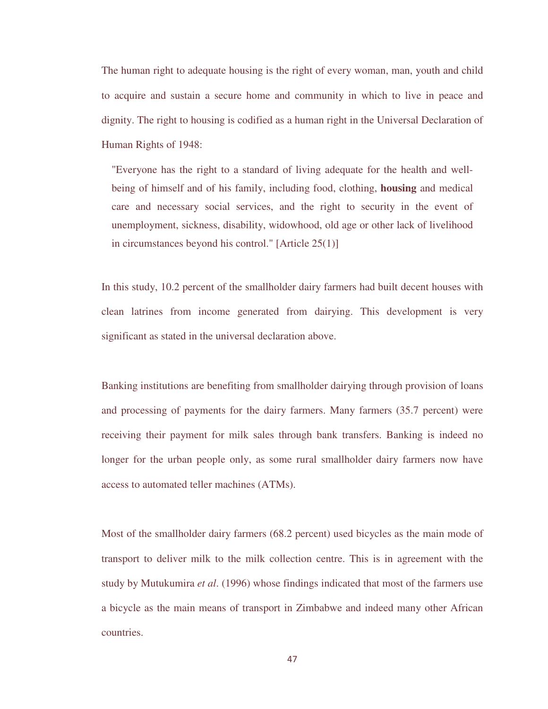The human right to adequate housing is the right of every woman, man, youth and child to acquire and sustain a secure home and community in which to live in peace and dignity. The right to housing is codified as a human right in the Universal Declaration of Human Rights of 1948:

"Everyone has the right to a standard of living adequate for the health and wellbeing of himself and of his family, including food, clothing, **housing** and medical care and necessary social services, and the right to security in the event of unemployment, sickness, disability, widowhood, old age or other lack of livelihood in circumstances beyond his control." [Article 25(1)]

In this study, 10.2 percent of the smallholder dairy farmers had built decent houses with clean latrines from income generated from dairying. This development is very significant as stated in the universal declaration above.

Banking institutions are benefiting from smallholder dairying through provision of loans and processing of payments for the dairy farmers. Many farmers (35.7 percent) were receiving their payment for milk sales through bank transfers. Banking is indeed no longer for the urban people only, as some rural smallholder dairy farmers now have access to automated teller machines (ATMs).

Most of the smallholder dairy farmers (68.2 percent) used bicycles as the main mode of transport to deliver milk to the milk collection centre. This is in agreement with the study by Mutukumira *et al*. (1996) whose findings indicated that most of the farmers use a bicycle as the main means of transport in Zimbabwe and indeed many other African countries.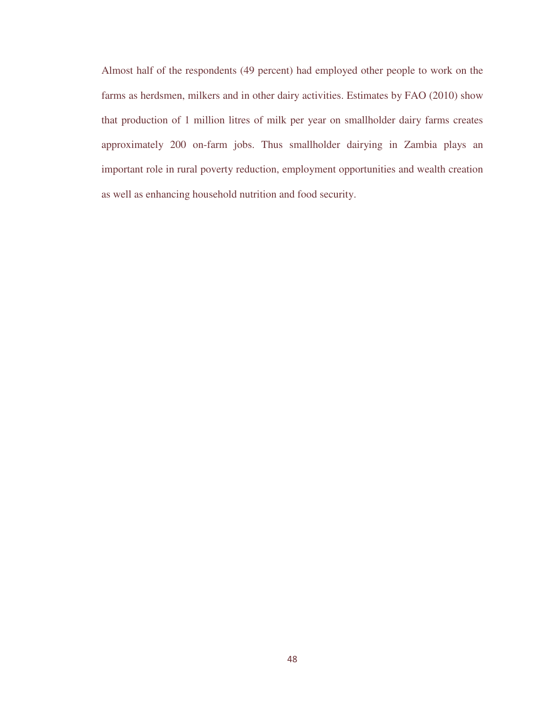Almost half of the respondents (49 percent) had employed other people to work on the farms as herdsmen, milkers and in other dairy activities. Estimates by FAO (2010) show that production of 1 million litres of milk per year on smallholder dairy farms creates approximately 200 on-farm jobs. Thus smallholder dairying in Zambia plays an important role in rural poverty reduction, employment opportunities and wealth creation as well as enhancing household nutrition and food security.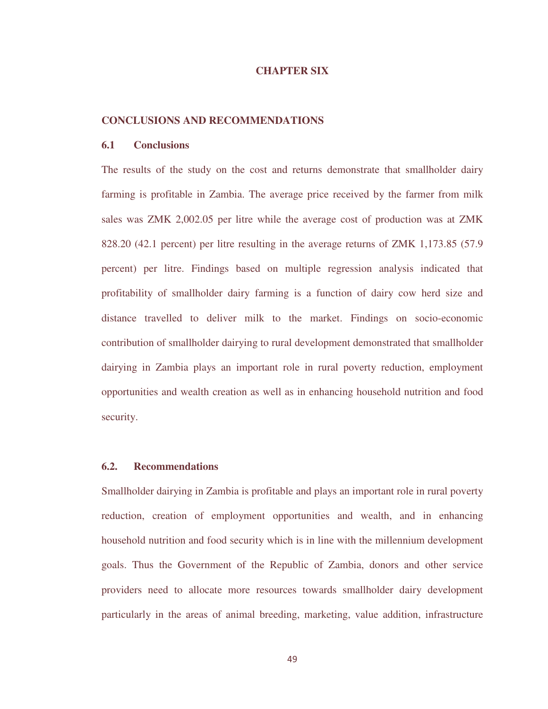#### **CHAPTER SIX**

#### **CONCLUSIONS AND RECOMMENDATIONS**

#### **6.1 Conclusions**

The results of the study on the cost and returns demonstrate that smallholder dairy farming is profitable in Zambia. The average price received by the farmer from milk sales was ZMK 2,002.05 per litre while the average cost of production was at ZMK 828.20 (42.1 percent) per litre resulting in the average returns of ZMK 1,173.85 (57.9 percent) per litre. Findings based on multiple regression analysis indicated that profitability of smallholder dairy farming is a function of dairy cow herd size and distance travelled to deliver milk to the market. Findings on socio-economic contribution of smallholder dairying to rural development demonstrated that smallholder dairying in Zambia plays an important role in rural poverty reduction, employment opportunities and wealth creation as well as in enhancing household nutrition and food security.

#### **6.2. Recommendations**

Smallholder dairying in Zambia is profitable and plays an important role in rural poverty reduction, creation of employment opportunities and wealth, and in enhancing household nutrition and food security which is in line with the millennium development goals. Thus the Government of the Republic of Zambia, donors and other service providers need to allocate more resources towards smallholder dairy development particularly in the areas of animal breeding, marketing, value addition, infrastructure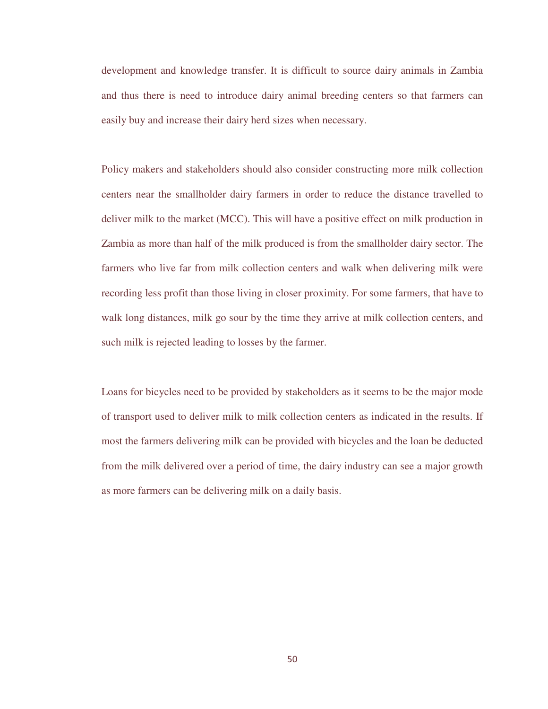development and knowledge transfer. It is difficult to source dairy animals in Zambia and thus there is need to introduce dairy animal breeding centers so that farmers can easily buy and increase their dairy herd sizes when necessary.

Policy makers and stakeholders should also consider constructing more milk collection centers near the smallholder dairy farmers in order to reduce the distance travelled to deliver milk to the market (MCC). This will have a positive effect on milk production in Zambia as more than half of the milk produced is from the smallholder dairy sector. The farmers who live far from milk collection centers and walk when delivering milk were recording less profit than those living in closer proximity. For some farmers, that have to walk long distances, milk go sour by the time they arrive at milk collection centers, and such milk is rejected leading to losses by the farmer.

Loans for bicycles need to be provided by stakeholders as it seems to be the major mode of transport used to deliver milk to milk collection centers as indicated in the results. If most the farmers delivering milk can be provided with bicycles and the loan be deducted from the milk delivered over a period of time, the dairy industry can see a major growth as more farmers can be delivering milk on a daily basis.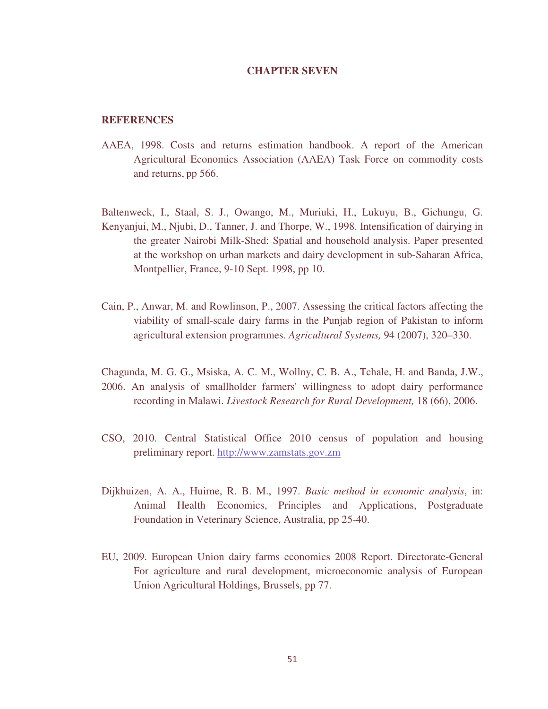#### **CHAPTER SEVEN**

#### **REFERENCES**

- AAEA, 1998. Costs and returns estimation handbook. A report of the American Agricultural Economics Association (AAEA) Task Force on commodity costs and returns, pp 566.
- Baltenweck, I., Staal, S. J., Owango, M., Muriuki, H., Lukuyu, B., Gichungu, G. Kenyanjui, M., Njubi, D., Tanner, J. and Thorpe, W., 1998. Intensification of dairying in the greater Nairobi Milk-Shed: Spatial and household analysis. Paper presented at the workshop on urban markets and dairy development in sub-Saharan Africa, Montpellier, France, 9-10 Sept. 1998, pp 10.
- Cain, P., Anwar, M. and Rowlinson, P., 2007. Assessing the critical factors affecting the viability of small-scale dairy farms in the Punjab region of Pakistan to inform agricultural extension programmes. *Agricultural Systems,* 94 (2007), 320–330.
- Chagunda, M. G. G., Msiska, A. C. M., Wollny, C. B. A., Tchale, H. and Banda, J.W., 2006. An analysis of smallholder farmers' willingness to adopt dairy performance recording in Malawi. *Livestock Research for Rural Development,* 18 (66), 2006.
- CSO, 2010. Central Statistical Office 2010 census of population and housing preliminary report. http://www.zamstats.gov.zm
- Dijkhuizen, A. A., Huirne, R. B. M., 1997. *Basic method in economic analysis*, in: Animal Health Economics, Principles and Applications, Postgraduate Foundation in Veterinary Science, Australia, pp 25-40.
- EU, 2009. European Union dairy farms economics 2008 Report. Directorate-General For agriculture and rural development, microeconomic analysis of European Union Agricultural Holdings, Brussels, pp 77.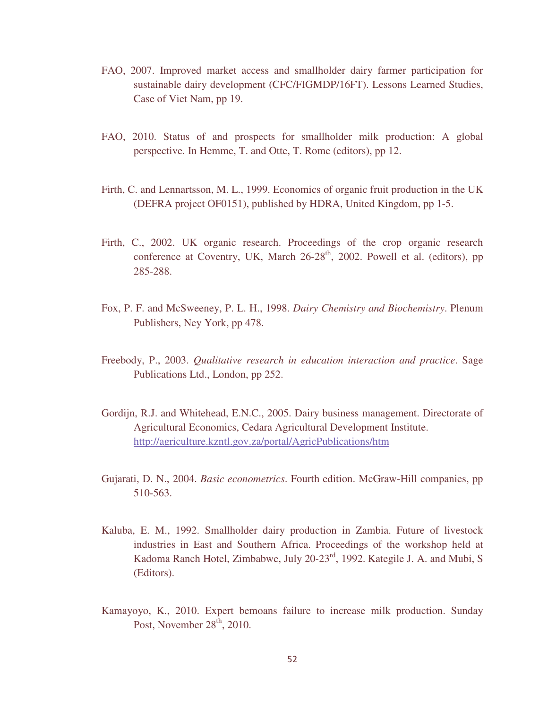- FAO, 2007. Improved market access and smallholder dairy farmer participation for sustainable dairy development (CFC/FIGMDP/16FT). Lessons Learned Studies, Case of Viet Nam, pp 19.
- FAO, 2010. Status of and prospects for smallholder milk production: A global perspective. In Hemme, T. and Otte, T. Rome (editors), pp 12.
- Firth, C. and Lennartsson, M. L., 1999. Economics of organic fruit production in the UK (DEFRA project OF0151), published by HDRA, United Kingdom, pp 1-5.
- Firth, C., 2002. UK organic research. Proceedings of the crop organic research conference at Coventry, UK, March  $26-28<sup>th</sup>$ , 2002. Powell et al. (editors), pp 285-288.
- Fox, P. F. and McSweeney, P. L. H., 1998. *Dairy Chemistry and Biochemistry*. Plenum Publishers, Ney York, pp 478.
- Freebody, P., 2003. *Qualitative research in education interaction and practice*. Sage Publications Ltd., London, pp 252.
- Gordijn, R.J. and Whitehead, E.N.C., 2005. Dairy business management. Directorate of Agricultural Economics, Cedara Agricultural Development Institute. http://agriculture.kzntl.gov.za/portal/AgricPublications/htm
- Gujarati, D. N., 2004. *Basic econometrics*. Fourth edition. McGraw-Hill companies, pp 510-563.
- Kaluba, E. M., 1992. Smallholder dairy production in Zambia. Future of livestock industries in East and Southern Africa. Proceedings of the workshop held at Kadoma Ranch Hotel, Zimbabwe, July 20-23rd, 1992. Kategile J. A. and Mubi, S (Editors).
- Kamayoyo, K., 2010. Expert bemoans failure to increase milk production. Sunday Post, November 28<sup>th</sup>, 2010.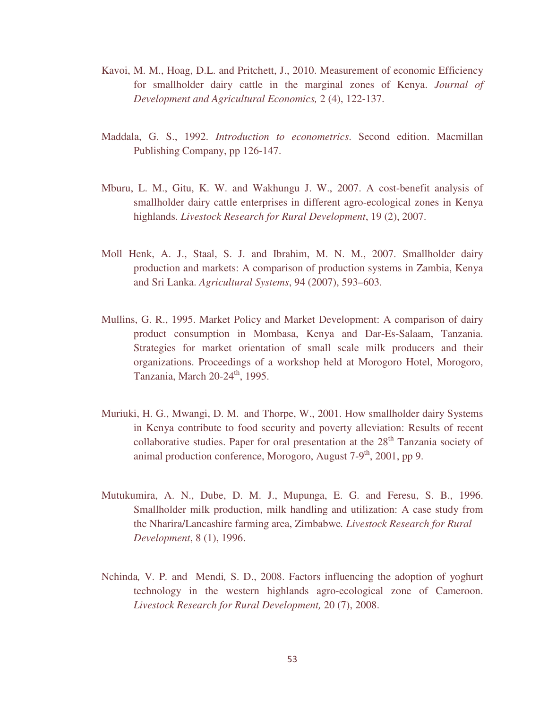- Kavoi, M. M., Hoag, D.L. and Pritchett, J., 2010. Measurement of economic Efficiency for smallholder dairy cattle in the marginal zones of Kenya. *Journal of Development and Agricultural Economics,* 2 (4), 122-137.
- Maddala, G. S., 1992. *Introduction to econometrics*. Second edition. Macmillan Publishing Company, pp 126-147.
- Mburu, L. M., Gitu, K. W. and Wakhungu J. W., 2007. A cost-benefit analysis of smallholder dairy cattle enterprises in different agro-ecological zones in Kenya highlands. *Livestock Research for Rural Development*, 19 (2), 2007.
- Moll Henk, A. J., Staal, S. J. and Ibrahim, M. N. M., 2007. Smallholder dairy production and markets: A comparison of production systems in Zambia, Kenya and Sri Lanka. *Agricultural Systems*, 94 (2007), 593–603.
- Mullins, G. R., 1995. Market Policy and Market Development: A comparison of dairy product consumption in Mombasa, Kenya and Dar-Es-Salaam, Tanzania. Strategies for market orientation of small scale milk producers and their organizations. Proceedings of a workshop held at Morogoro Hotel, Morogoro, Tanzania, March  $20-24$ <sup>th</sup>, 1995.
- Muriuki, H. G., Mwangi, D. M. and Thorpe, W., 2001. How smallholder dairy Systems in Kenya contribute to food security and poverty alleviation: Results of recent collaborative studies. Paper for oral presentation at the  $28<sup>th</sup>$  Tanzania society of animal production conference, Morogoro, August  $7-9<sup>th</sup>$ , 2001, pp 9.
- Mutukumira, A. N., Dube, D. M. J., Mupunga, E. G. and Feresu, S. B., 1996. Smallholder milk production, milk handling and utilization: A case study from the Nharira/Lancashire farming area, Zimbabwe*. Livestock Research for Rural Development*, 8 (1), 1996.
- Nchinda*,* V*.* P*.* and Mendi*,* S. D., 2008. Factors influencing the adoption of yoghurt technology in the western highlands agro-ecological zone of Cameroon. *Livestock Research for Rural Development,* 20 (7), 2008.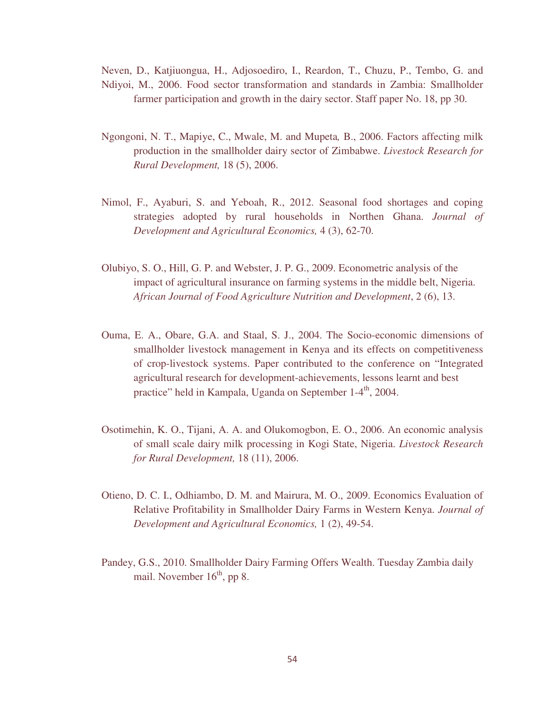Neven, D., Katjiuongua, H., Adjosoediro, I., Reardon, T., Chuzu, P., Tembo, G. and Ndiyoi, M., 2006. Food sector transformation and standards in Zambia: Smallholder farmer participation and growth in the dairy sector. Staff paper No. 18, pp 30.

- Ngongoni, N. T., Mapiye, C., Mwale, M. and Mupeta*,* B., 2006. Factors affecting milk production in the smallholder dairy sector of Zimbabwe. *Livestock Research for Rural Development,* 18 (5), 2006.
- Nimol, F., Ayaburi, S. and Yeboah, R., 2012. Seasonal food shortages and coping strategies adopted by rural households in Northen Ghana. *Journal of Development and Agricultural Economics,* 4 (3), 62-70.
- Olubiyo, S. O., Hill, G. P. and Webster, J. P. G., 2009. Econometric analysis of the impact of agricultural insurance on farming systems in the middle belt, Nigeria. *African Journal of Food Agriculture Nutrition and Development*, 2 (6), 13.
- Ouma, E. A., Obare, G.A. and Staal, S. J., 2004. The Socio-economic dimensions of smallholder livestock management in Kenya and its effects on competitiveness of crop-livestock systems. Paper contributed to the conference on "Integrated agricultural research for development-achievements, lessons learnt and best practice" held in Kampala, Uganda on September 1-4<sup>th</sup>, 2004.
- Osotimehin, K. O., Tijani, A. A. and Olukomogbon, E. O., 2006. An economic analysis of small scale dairy milk processing in Kogi State, Nigeria. *Livestock Research for Rural Development,* 18 (11), 2006.
- Otieno, D. C. I., Odhiambo, D. M. and Mairura, M. O., 2009. Economics Evaluation of Relative Profitability in Smallholder Dairy Farms in Western Kenya. *Journal of Development and Agricultural Economics,* 1 (2), 49-54.
- Pandey, G.S., 2010. Smallholder Dairy Farming Offers Wealth. Tuesday Zambia daily mail. November  $16<sup>th</sup>$ , pp 8.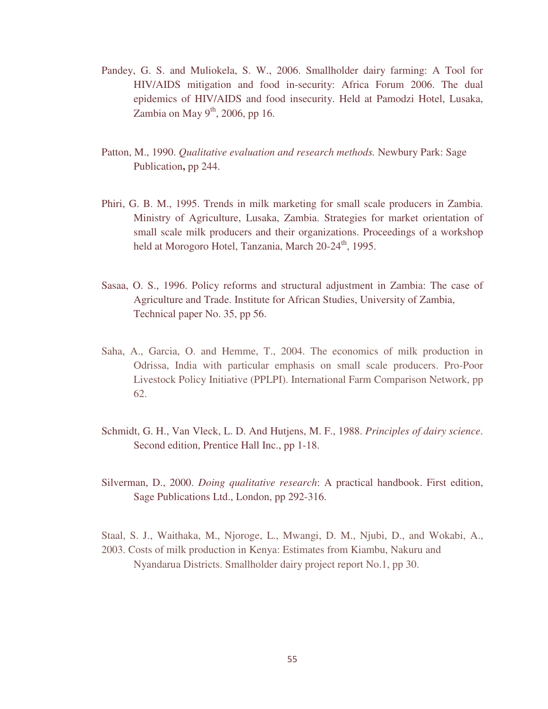- Pandey, G. S. and Muliokela, S. W., 2006. Smallholder dairy farming: A Tool for HIV/AIDS mitigation and food in-security: Africa Forum 2006. The dual epidemics of HIV/AIDS and food insecurity. Held at Pamodzi Hotel, Lusaka, Zambia on May  $9<sup>th</sup>$ , 2006, pp 16.
- Patton, M., 1990. *Qualitative evaluation and research methods.* Newbury Park: Sage Publication**,** pp 244.
- Phiri, G. B. M., 1995. Trends in milk marketing for small scale producers in Zambia. Ministry of Agriculture, Lusaka, Zambia. Strategies for market orientation of small scale milk producers and their organizations. Proceedings of a workshop held at Morogoro Hotel, Tanzania, March  $20-24<sup>th</sup>$ , 1995.
- Sasaa, O. S., 1996. Policy reforms and structural adjustment in Zambia: The case of Agriculture and Trade. Institute for African Studies, University of Zambia, Technical paper No. 35, pp 56.
- Saha, A., Garcia, O. and Hemme, T., 2004. The economics of milk production in Odrissa, India with particular emphasis on small scale producers. Pro-Poor Livestock Policy Initiative (PPLPI). International Farm Comparison Network, pp 62.
- Schmidt, G. H., Van Vleck, L. D. And Hutjens, M. F., 1988. *Principles of dairy science*. Second edition, Prentice Hall Inc., pp 1-18.
- Silverman, D., 2000. *Doing qualitative research*: A practical handbook. First edition, Sage Publications Ltd., London, pp 292-316.
- Staal, S. J., Waithaka, M., Njoroge, L., Mwangi, D. M., Njubi, D., and Wokabi, A., 2003. Costs of milk production in Kenya: Estimates from Kiambu, Nakuru and Nyandarua Districts. Smallholder dairy project report No.1, pp 30.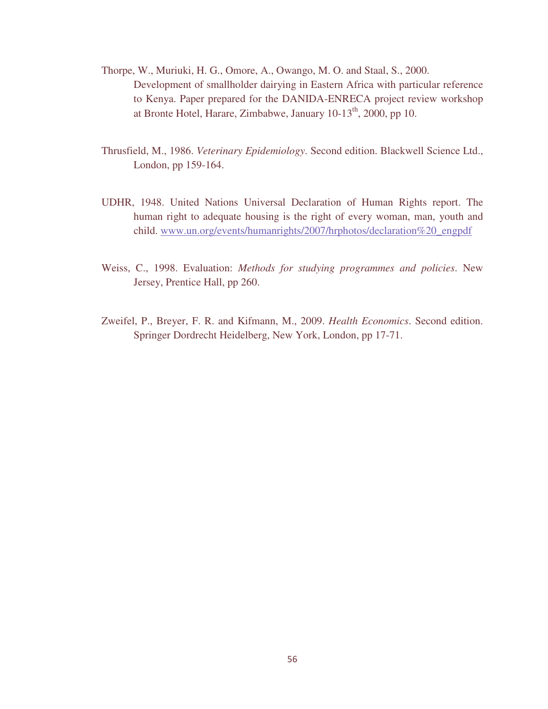- Thorpe, W., Muriuki, H. G., Omore, A., Owango, M. O. and Staal, S., 2000. Development of smallholder dairying in Eastern Africa with particular reference to Kenya. Paper prepared for the DANIDA-ENRECA project review workshop at Bronte Hotel, Harare, Zimbabwe, January  $10-13<sup>th</sup>$ , 2000, pp 10.
- Thrusfield, M., 1986. *Veterinary Epidemiology*. Second edition. Blackwell Science Ltd., London, pp 159-164.
- UDHR, 1948. United Nations Universal Declaration of Human Rights report. The human right to adequate housing is the right of every woman, man, youth and child. www.un.org/events/humanrights/2007/hrphotos/declaration%20\_engpdf
- Weiss, C., 1998. Evaluation: *Methods for studying programmes and policies*. New Jersey, Prentice Hall, pp 260.
- Zweifel, P., Breyer, F. R. and Kifmann, M., 2009. *Health Economics*. Second edition. Springer Dordrecht Heidelberg, New York, London, pp 17-71.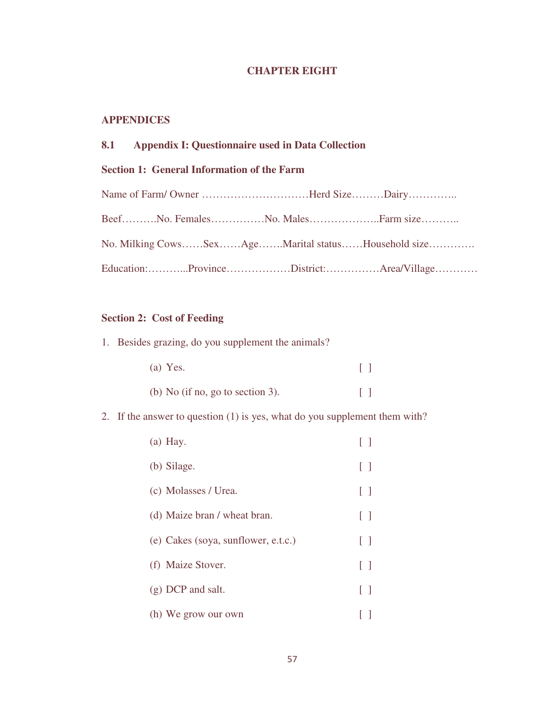### **CHAPTER EIGHT**

### **APPENDICES**

| 8.1 |  |  | <b>Appendix I: Questionnaire used in Data Collection</b> |
|-----|--|--|----------------------------------------------------------|
|-----|--|--|----------------------------------------------------------|

### **Section 1: General Information of the Farm**

| Name of Farm/Owner Herd SizeDairy                  |  |
|----------------------------------------------------|--|
| BeefNo. FemalesNo. MalesFarm size                  |  |
| No. Milking CowsSexAgeMarital statusHousehold size |  |
| Education:ProvinceDistrict:Area/Village            |  |

### **Section 2: Cost of Feeding**

1. Besides grazing, do you supplement the animals?

| (a) Yes.                         | $\Box$ |  |
|----------------------------------|--------|--|
| (b) No (if no, go to section 3). | $\Box$ |  |

## 2. If the answer to question (1) is yes, what do you supplement them with?

| $(a)$ Hay.                          |              |
|-------------------------------------|--------------|
| (b) Silage.                         | $\Box$       |
| (c) Molasses / Urea.                | $\Box$       |
| (d) Maize bran / wheat bran.        | [ ]          |
| (e) Cakes (soya, sunflower, e.t.c.) | $\Box$       |
| (f) Maize Stover.                   | [ ]          |
| $(g)$ DCP and salt.                 | $\mathbf{L}$ |
| (h) We grow our own                 |              |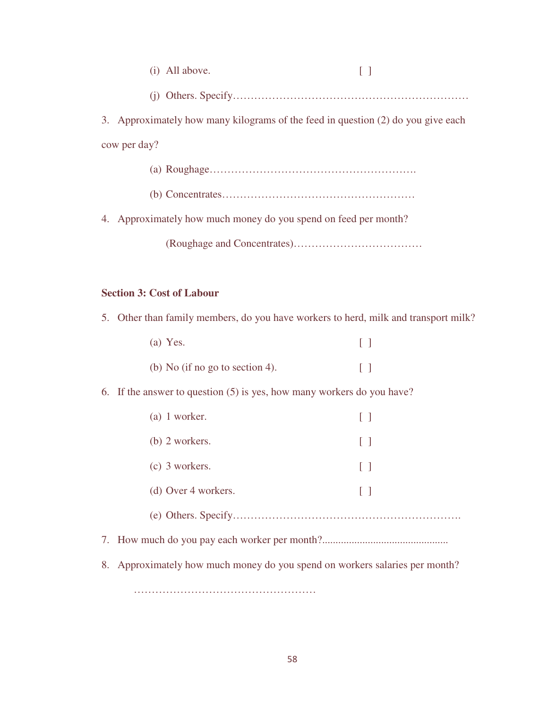| (i) All above. |  |
|----------------|--|
|                |  |

3. Approximately how many kilograms of the feed in question (2) do you give each cow per day?

> (a) Roughage…………………………………………………. (b) Concentrates………………………………………………

4. Approximately how much money do you spend on feed per month?

(Roughage and Concentrates)………………………………

#### **Section 3: Cost of Labour**

5. Other than family members, do you have workers to herd, milk and transport milk?

| $(a)$ Yes.                      |  |
|---------------------------------|--|
| (b) No (if no go to section 4). |  |

6. If the answer to question (5) is yes, how many workers do you have?

| $(a)$ 1 worker.     |              |
|---------------------|--------------|
| $(b)$ 2 workers.    | $\mathbf{L}$ |
| $(c)$ 3 workers.    | $\mathbf{I}$ |
| (d) Over 4 workers. | $\mathbf{I}$ |
|                     |              |
|                     |              |

8. Approximately how much money do you spend on workers salaries per month?

……………………………………………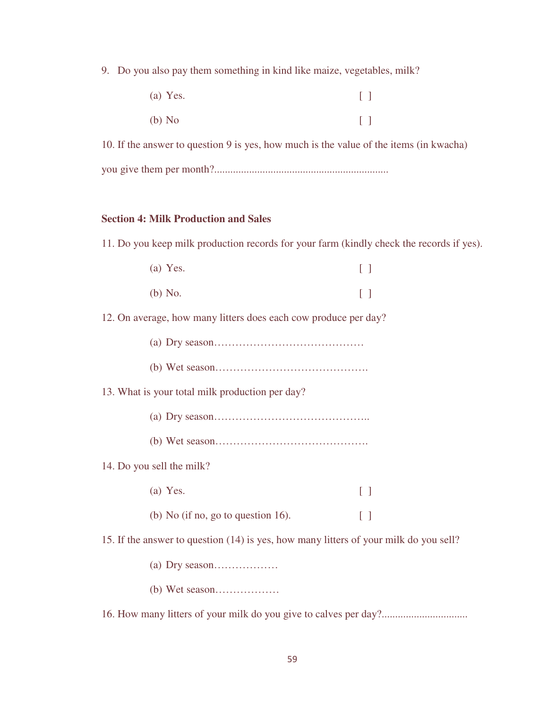9. Do you also pay them something in kind like maize, vegetables, milk?

| (a) Yes. | $\Box$                            |
|----------|-----------------------------------|
| $(b)$ No | $\begin{bmatrix} 1 \end{bmatrix}$ |

10. If the answer to question 9 is yes, how much is the value of the items (in kwacha) you give them per month?.................................................................

#### **Section 4: Milk Production and Sales**

11. Do you keep milk production records for your farm (kindly check the records if yes).

| (a) Yes. | $\Box$ |
|----------|--------|
| (b) No.  | $\Box$ |

12. On average, how many litters does each cow produce per day?

(b) Wet season…………………………………….

13. What is your total milk production per day?

- (a) Dry season……………………………………..
- (b) Wet season…………………………………….

#### 14. Do you sell the milk?

(a) Yes.  $\begin{bmatrix} \end{bmatrix}$ (b) No (if no, go to question 16).  $[ ]$ 

15. If the answer to question (14) is yes, how many litters of your milk do you sell?

- (a) Dry season………………
- (b) Wet season………………

16. How many litters of your milk do you give to calves per day?................................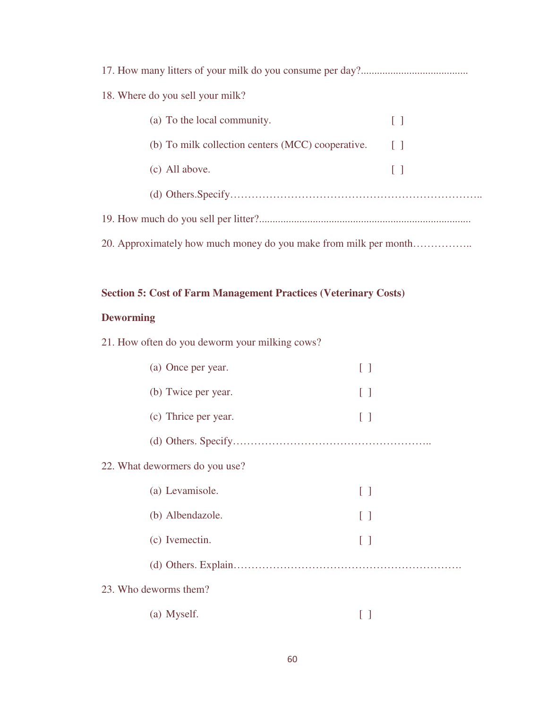| 18. Where do you sell your milk?                                 |              |  |  |  |  |  |
|------------------------------------------------------------------|--------------|--|--|--|--|--|
| (a) To the local community.                                      | $\Box$       |  |  |  |  |  |
| (b) To milk collection centers (MCC) cooperative.                | $\mathbf{L}$ |  |  |  |  |  |
| (c) All above.                                                   | $\mathbf{L}$ |  |  |  |  |  |
|                                                                  |              |  |  |  |  |  |
|                                                                  |              |  |  |  |  |  |
| 20. Approximately how much money do you make from milk per month |              |  |  |  |  |  |

## **Section 5: Cost of Farm Management Practices (Veterinary Costs)**

### **Deworming**

21. How often do you deworm your milking cows?

| (a) Once per year.             |                   |
|--------------------------------|-------------------|
| (b) Twice per year.            | $[\ ]$            |
| (c) Thrice per year.           | $\Box$            |
|                                |                   |
| 22. What dewormers do you use? |                   |
| (a) Levamisole.                | $\lceil \ \rceil$ |
| (b) Albendazole.               | $\Box$            |
| (c) Ivemectin.                 | $\lceil \ \rceil$ |
|                                |                   |
| 23. Who deworms them?          |                   |
| (a) Myself.                    |                   |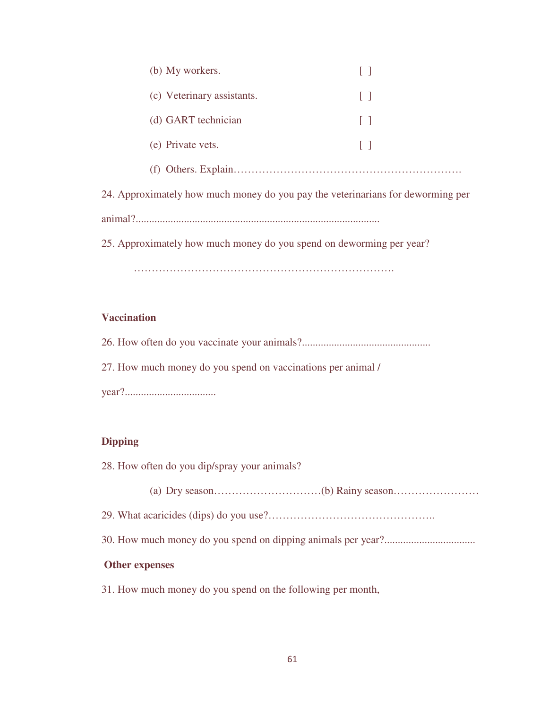| (b) My workers.                                                                 |        |  |  |
|---------------------------------------------------------------------------------|--------|--|--|
| (c) Veterinary assistants.                                                      | L 1    |  |  |
| (d) GART technician                                                             | $\Box$ |  |  |
| (e) Private vets.                                                               | [ ]    |  |  |
|                                                                                 |        |  |  |
| 24. Approximately how much money do you pay the veterinarians for deworming per |        |  |  |
|                                                                                 |        |  |  |
| 25. Approximately how much money do you spend on deworming per year?            |        |  |  |
|                                                                                 |        |  |  |

### **Vaccination**

26. How often do you vaccinate your animals?................................................ 27. How much money do you spend on vaccinations per animal / year?..................................

### **Dipping**

- 28. How often do you dip/spray your animals?
	- (a) Dry season…………………………(b) Rainy season……………………
- 29. What acaricides (dips) do you use?………………………………………..
- 30. How much money do you spend on dipping animals per year?..................................

### **Other expenses**

31. How much money do you spend on the following per month,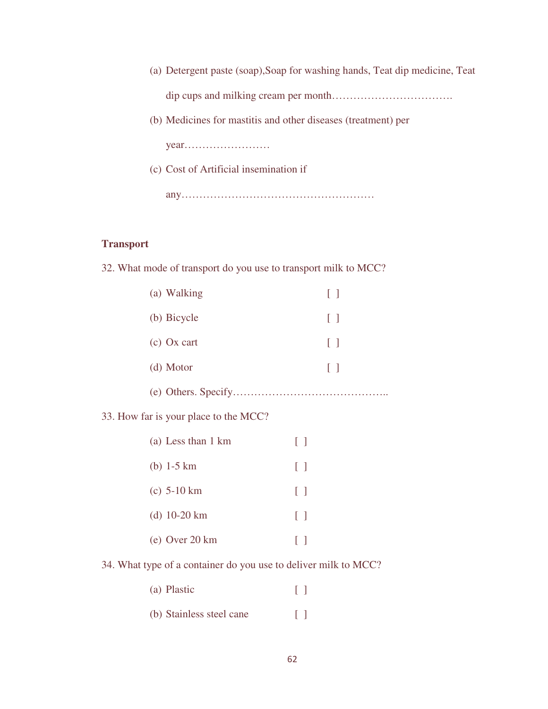- (a) Detergent paste (soap),Soap for washing hands, Teat dip medicine, Teat dip cups and milking cream per month…………………………….
- (b) Medicines for mastitis and other diseases (treatment) per

year……………………

(c) Cost of Artificial insemination if

any………………………………………………

#### **Transport**

32. What mode of transport do you use to transport milk to MCC?

| (a) Walking         | $\Box$     |
|---------------------|------------|
| (b) Bicycle         | $\lceil$ 1 |
| $(c)$ Ox cart       | $\Box$     |
| (d) Motor           | $\Box$     |
| (e) Others. Specify |            |

33. How far is your place to the MCC?

| (a) Less than 1 km       | $\Box$            |
|--------------------------|-------------------|
| (b) $1-5 \text{ km}$     | L 1               |
| $(c)$ 5-10 km            | $\Box$            |
| (d) $10-20 \text{ km}$   | $\lceil \ \rceil$ |
| (e) Over $20 \text{ km}$ |                   |

34. What type of a container do you use to deliver milk to MCC?

| (a) Plastic |  | $\mathbf{L}$ |
|-------------|--|--------------|
|             |  |              |

(b) Stainless steel cane [ ]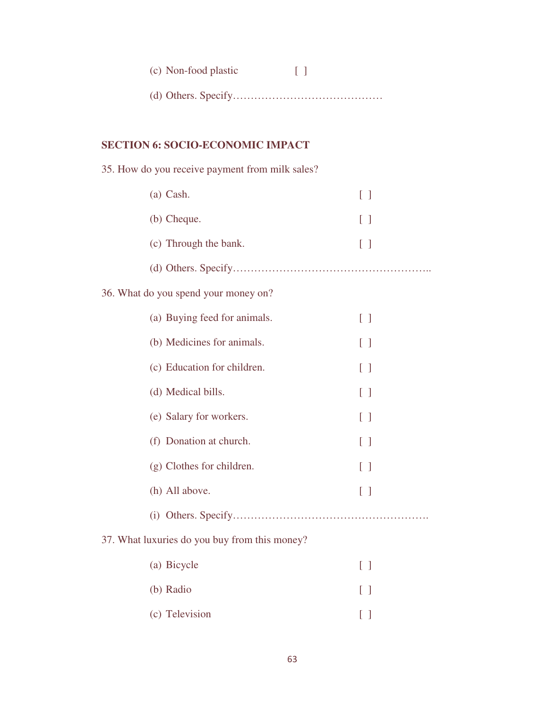| (c) Non-food plastic |  |
|----------------------|--|
| $(d)$ Othoro Cnoothy |  |

|--|--|--|--|

# **SECTION 6: SOCIO-ECONOMIC IMPACT**

| 35. How do you receive payment from milk sales? |  |
|-------------------------------------------------|--|
|-------------------------------------------------|--|

| $(a)$ Cash.           | $\mathbf{1}$ |
|-----------------------|--------------|
| (b) Cheque.           | $\mathbf{1}$ |
| (c) Through the bank. | $\mathbf{1}$ |
|                       |              |

# 36. What do you spend your money on?

| (a) Buying feed for animals. | H          |
|------------------------------|------------|
| (b) Medicines for animals.   | $\lceil$ 1 |
| (c) Education for children.  | $\lceil$ 1 |
| (d) Medical bills.           | $\lceil$ 1 |
| (e) Salary for workers.      | $\lceil$ 1 |
| (f) Donation at church.      | $\lceil$ 1 |
| (g) Clothes for children.    | $\lceil$ 1 |
| (h) All above.               | $\lceil$ 1 |
|                              |            |
|                              |            |

## 37. What luxuries do you buy from this money?

| (a) Bicycle    | $\mathbf{1}$ |
|----------------|--------------|
| (b) Radio      |              |
| (c) Television | $\mathbf{1}$ |